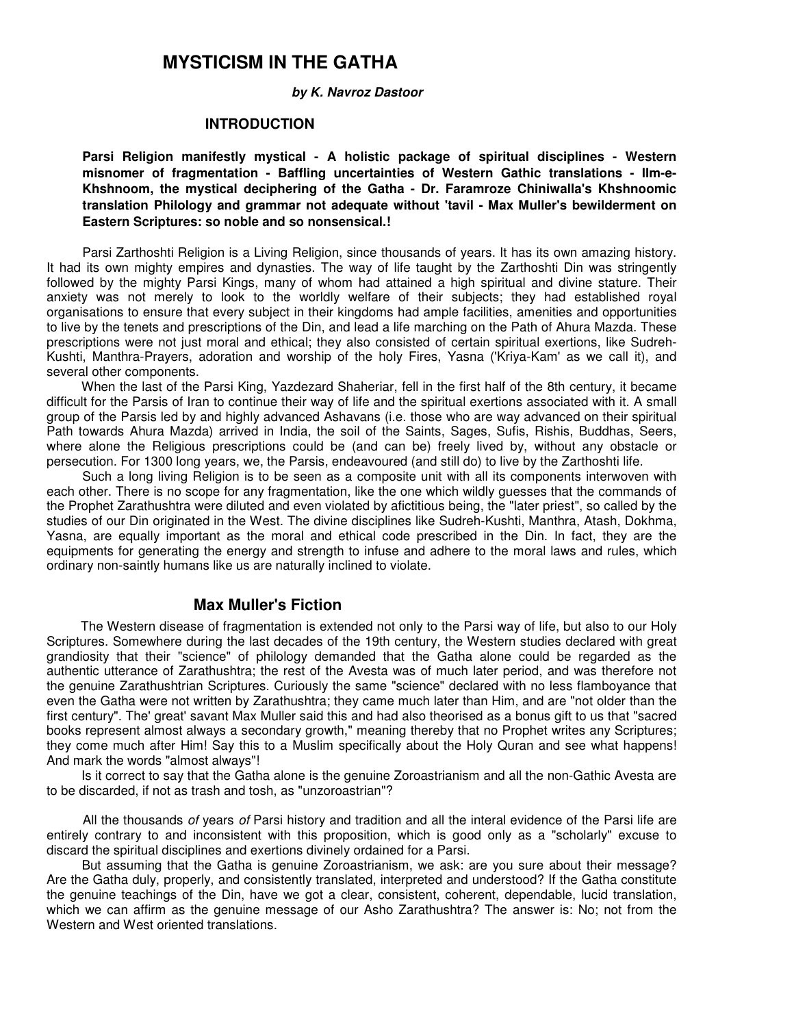#### **by K. Navroz Dastoor**

#### **INTRODUCTION**

**Parsi Religion manifestly mystical - A holistic package of spiritual disciplines - Western misnomer of fragmentation - Baffling uncertainties of Western Gathic translations - IIm-e-Khshnoom, the mystical deciphering of the Gatha - Dr. Faramroze Chiniwalla's Khshnoomic translation Philology and grammar not adequate without 'tavil - Max Muller's bewilderment on Eastern Scriptures: so noble and so nonsensical.!** 

Parsi Zarthoshti Religion is a Living Religion, since thousands of years. It has its own amazing history. It had its own mighty empires and dynasties. The way of life taught by the Zarthoshti Din was stringently followed by the mighty Parsi Kings, many of whom had attained a high spiritual and divine stature. Their anxiety was not merely to look to the worldly welfare of their subjects; they had established royal organisations to ensure that every subject in their kingdoms had ample facilities, amenities and opportunities to live by the tenets and prescriptions of the Din, and lead a life marching on the Path of Ahura Mazda. These prescriptions were not just moral and ethical; they also consisted of certain spiritual exertions, like Sudreh-Kushti, Manthra-Prayers, adoration and worship of the holy Fires, Yasna ('Kriya-Kam' as we call it), and several other components.

When the last of the Parsi King, Yazdezard Shaheriar, fell in the first half of the 8th century, it became difficult for the Parsis of Iran to continue their way of life and the spiritual exertions associated with it. A small group of the Parsis led by and highly advanced Ashavans (i.e. those who are way advanced on their spiritual Path towards Ahura Mazda) arrived in India, the soil of the Saints, Sages, Sufis, Rishis, Buddhas, Seers, where alone the Religious prescriptions could be (and can be) freely lived by, without any obstacle or persecution. For 1300 long years, we, the Parsis, endeavoured (and still do) to live by the Zarthoshti life.

Such a long living Religion is to be seen as a composite unit with all its components interwoven with each other. There is no scope for any fragmentation, like the one which wildly guesses that the commands of the Prophet Zarathushtra were diluted and even violated by afictitious being, the "later priest", so called by the studies of our Din originated in the West. The divine disciplines like Sudreh-Kushti, Manthra, Atash, Dokhma, Yasna, are equally important as the moral and ethical code prescribed in the Din. In fact, they are the equipments for generating the energy and strength to infuse and adhere to the moral laws and rules, which ordinary non-saintly humans like us are naturally inclined to violate.

#### **Max Muller's Fiction**

The Western disease of fragmentation is extended not only to the Parsi way of life, but also to our Holy Scriptures. Somewhere during the last decades of the 19th century, the Western studies declared with great grandiosity that their "science" of philology demanded that the Gatha alone could be regarded as the authentic utterance of Zarathushtra; the rest of the Avesta was of much later period, and was therefore not the genuine Zarathushtrian Scriptures. Curiously the same "science" declared with no less flamboyance that even the Gatha were not written by Zarathushtra; they came much later than Him, and are "not older than the first century". The' great' savant Max Muller said this and had also theorised as a bonus gift to us that "sacred books represent almost always a secondary growth," meaning thereby that no Prophet writes any Scriptures; they come much after Him! Say this to a Muslim specifically about the Holy Quran and see what happens! And mark the words "almost always"!

Is it correct to say that the Gatha alone is the genuine Zoroastrianism and all the non-Gathic Avesta are to be discarded, if not as trash and tosh, as "unzoroastrian"?

All the thousands of years of Parsi history and tradition and all the interal evidence of the Parsi life are entirely contrary to and inconsistent with this proposition, which is good only as a "scholarly" excuse to discard the spiritual disciplines and exertions divinely ordained for a Parsi.

But assuming that the Gatha is genuine Zoroastrianism, we ask: are you sure about their message? Are the Gatha duly, properly, and consistently translated, interpreted and understood? If the Gatha constitute the genuine teachings of the Din, have we got a clear, consistent, coherent, dependable, lucid translation, which we can affirm as the genuine message of our Asho Zarathushtra? The answer is: No; not from the Western and West oriented translations.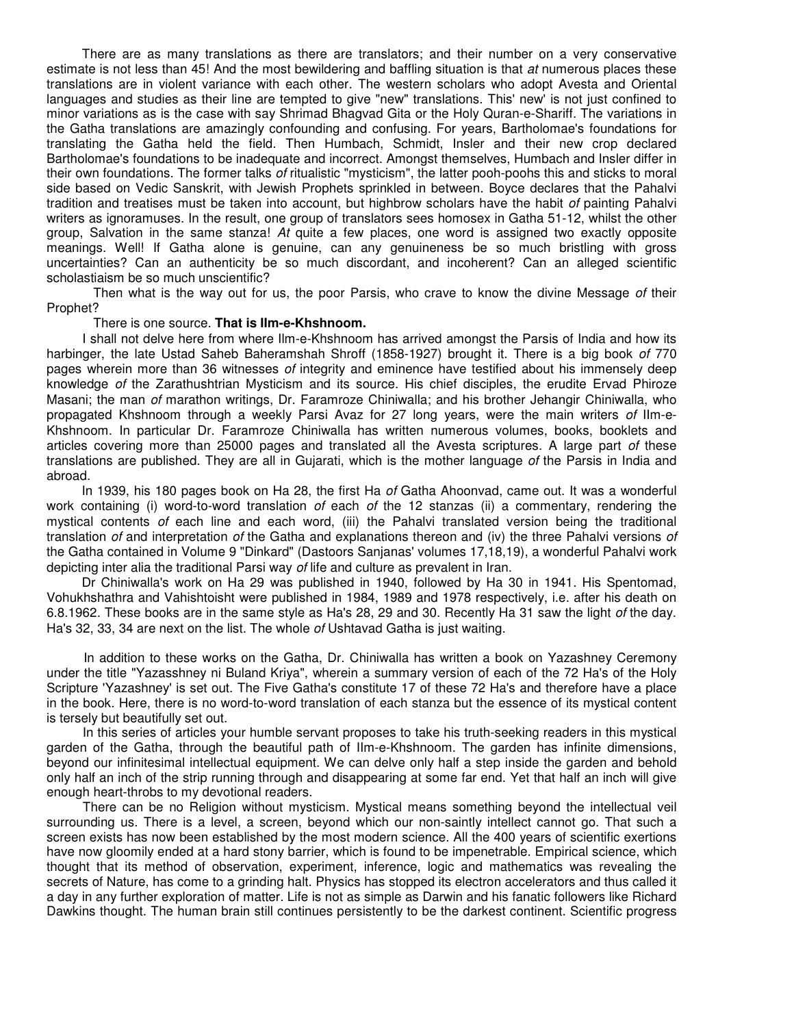There are as many translations as there are translators; and their number on a very conservative estimate is not less than 45! And the most bewildering and baffling situation is that at numerous places these translations are in violent variance with each other. The western scholars who adopt Avesta and Oriental languages and studies as their line are tempted to give "new" translations. This' new' is not just confined to minor variations as is the case with say Shrimad Bhagvad Gita or the Holy Quran-e-Shariff. The variations in the Gatha translations are amazingly confounding and confusing. For years, Bartholomae's foundations for translating the Gatha held the field. Then Humbach, Schmidt, Insler and their new crop declared Bartholomae's foundations to be inadequate and incorrect. Amongst themselves, Humbach and Insler differ in their own foundations. The former talks of ritualistic "mysticism", the latter pooh-poohs this and sticks to moral side based on Vedic Sanskrit, with Jewish Prophets sprinkled in between. Boyce declares that the Pahalvi tradition and treatises must be taken into account, but highbrow scholars have the habit of painting Pahalvi writers as ignoramuses. In the result, one group of translators sees homosex in Gatha 51-12, whilst the other group, Salvation in the same stanza! At quite a few places, one word is assigned two exactly opposite meanings. Well! If Gatha alone is genuine, can any genuineness be so much bristling with gross uncertainties? Can an authenticity be so much discordant, and incoherent? Can an alleged scientific scholastiaism be so much unscientific?

Then what is the way out for us, the poor Parsis, who crave to know the divine Message of their Prophet?

#### There is one source. **That is IIm-e-Khshnoom.**

I shall not delve here from where Ilm-e-Khshnoom has arrived amongst the Parsis of India and how its harbinger, the late Ustad Saheb Baheramshah Shroff (1858-1927) brought it. There is a big book of 770 pages wherein more than 36 witnesses of integrity and eminence have testified about his immensely deep knowledge of the Zarathushtrian Mysticism and its source. His chief disciples, the erudite Ervad Phiroze Masani; the man of marathon writings, Dr. Faramroze Chiniwalla; and his brother Jehangir Chiniwalla, who propagated Khshnoom through a weekly Parsi Avaz for 27 long years, were the main writers of IIm-e-Khshnoom. In particular Dr. Faramroze Chiniwalla has written numerous volumes, books, booklets and articles covering more than 25000 pages and translated all the Avesta scriptures. A large part of these translations are published. They are all in Gujarati, which is the mother language of the Parsis in India and abroad.

In 1939, his 180 pages book on Ha 28, the first Ha of Gatha Ahoonvad, came out. It was a wonderful work containing (i) word-to-word translation of each of the 12 stanzas (ii) a commentary, rendering the mystical contents of each line and each word, (iii) the Pahalvi translated version being the traditional translation of and interpretation of the Gatha and explanations thereon and (iv) the three Pahalvi versions of the Gatha contained in Volume 9 "Dinkard" (Dastoors Sanjanas' volumes 17,18,19), a wonderful Pahalvi work depicting inter alia the traditional Parsi way of life and culture as prevalent in Iran.

Dr Chiniwalla's work on Ha 29 was published in 1940, followed by Ha 30 in 1941. His Spentomad, Vohukhshathra and Vahishtoisht were published in 1984, 1989 and 1978 respectively, i.e. after his death on 6.8.1962. These books are in the same style as Ha's 28, 29 and 30. Recently Ha 31 saw the light of the day. Ha's 32, 33, 34 are next on the list. The whole of Ushtavad Gatha is just waiting.

In addition to these works on the Gatha, Dr. Chiniwalla has written a book on Yazashney Ceremony under the title "Yazasshney ni Buland Kriya", wherein a summary version of each of the 72 Ha's of the Holy Scripture 'Yazashney' is set out. The Five Gatha's constitute 17 of these 72 Ha's and therefore have a place in the book. Here, there is no word-to-word translation of each stanza but the essence of its mystical content is tersely but beautifully set out.

In this series of articles your humble servant proposes to take his truth-seeking readers in this mystical garden of the Gatha, through the beautiful path of IIm-e-Khshnoom. The garden has infinite dimensions, beyond our infinitesimal intellectual equipment. We can delve only half a step inside the garden and behold only half an inch of the strip running through and disappearing at some far end. Yet that half an inch will give enough heart-throbs to my devotional readers.

There can be no Religion without mysticism. Mystical means something beyond the intellectual veil surrounding us. There is a level, a screen, beyond which our non-saintly intellect cannot go. That such a screen exists has now been established by the most modern science. All the 400 years of scientific exertions have now gloomily ended at a hard stony barrier, which is found to be impenetrable. Empirical science, which thought that its method of observation, experiment, inference, logic and mathematics was revealing the secrets of Nature, has come to a grinding halt. Physics has stopped its electron accelerators and thus called it a day in any further exploration of matter. Life is not as simple as Darwin and his fanatic followers like Richard Dawkins thought. The human brain still continues persistently to be the darkest continent. Scientific progress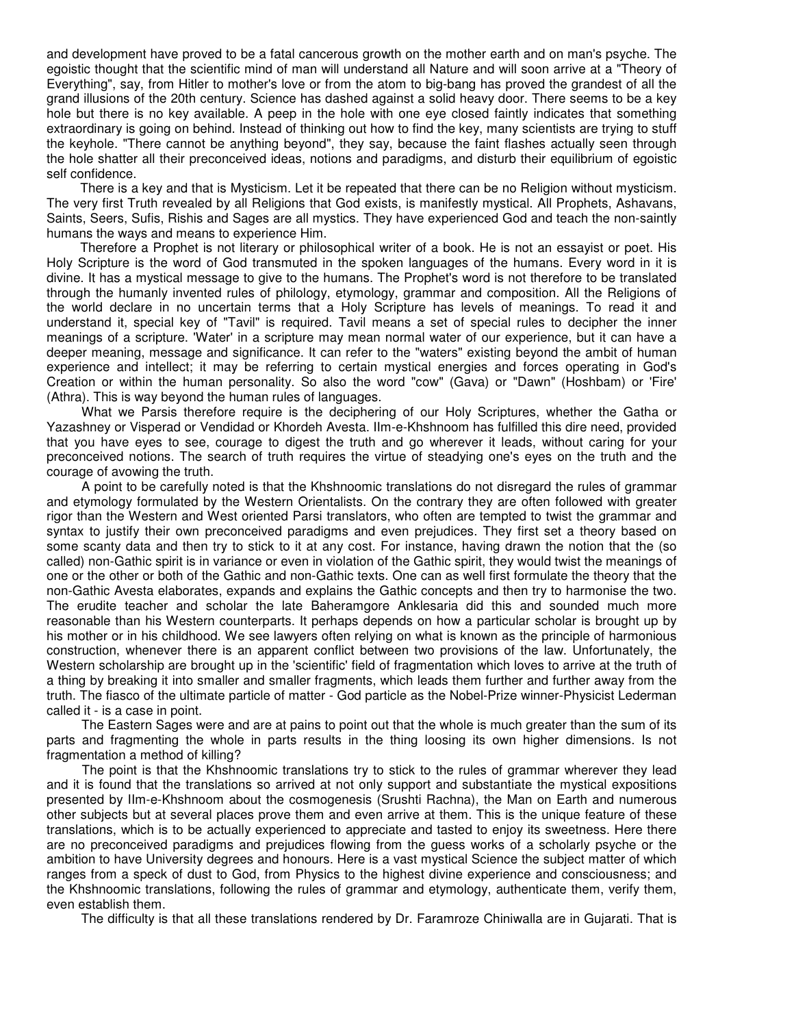and development have proved to be a fatal cancerous growth on the mother earth and on man's psyche. The egoistic thought that the scientific mind of man will understand all Nature and will soon arrive at a "Theory of Everything", say, from Hitler to mother's love or from the atom to big-bang has proved the grandest of all the grand illusions of the 20th century. Science has dashed against a solid heavy door. There seems to be a key hole but there is no key available. A peep in the hole with one eye closed faintly indicates that something extraordinary is going on behind. Instead of thinking out how to find the key, many scientists are trying to stuff the keyhole. "There cannot be anything beyond", they say, because the faint flashes actually seen through the hole shatter all their preconceived ideas, notions and paradigms, and disturb their equilibrium of egoistic self confidence.

There is a key and that is Mysticism. Let it be repeated that there can be no Religion without mysticism. The very first Truth revealed by all Religions that God exists, is manifestly mystical. All Prophets, Ashavans, Saints, Seers, Sufis, Rishis and Sages are all mystics. They have experienced God and teach the non-saintly humans the ways and means to experience Him.

Therefore a Prophet is not literary or philosophical writer of a book. He is not an essayist or poet. His Holy Scripture is the word of God transmuted in the spoken languages of the humans. Every word in it is divine. It has a mystical message to give to the humans. The Prophet's word is not therefore to be translated through the humanly invented rules of philology, etymology, grammar and composition. All the Religions of the world declare in no uncertain terms that a Holy Scripture has levels of meanings. To read it and understand it, special key of "Tavil" is required. Tavil means a set of special rules to decipher the inner meanings of a scripture. 'Water' in a scripture may mean normal water of our experience, but it can have a deeper meaning, message and significance. It can refer to the "waters" existing beyond the ambit of human experience and intellect; it may be referring to certain mystical energies and forces operating in God's Creation or within the human personality. So also the word "cow" (Gava) or "Dawn" (Hoshbam) or 'Fire' (Athra). This is way beyond the human rules of languages.

What we Parsis therefore require is the deciphering of our Holy Scriptures, whether the Gatha or Yazashney or Visperad or Vendidad or Khordeh Avesta. IIm-e-Khshnoom has fulfilled this dire need, provided that you have eyes to see, courage to digest the truth and go wherever it leads, without caring for your preconceived notions. The search of truth requires the virtue of steadying one's eyes on the truth and the courage of avowing the truth.

A point to be carefully noted is that the Khshnoomic translations do not disregard the rules of grammar and etymology formulated by the Western Orientalists. On the contrary they are often followed with greater rigor than the Western and West oriented Parsi translators, who often are tempted to twist the grammar and syntax to justify their own preconceived paradigms and even prejudices. They first set a theory based on some scanty data and then try to stick to it at any cost. For instance, having drawn the notion that the (so called) non-Gathic spirit is in variance or even in violation of the Gathic spirit, they would twist the meanings of one or the other or both of the Gathic and non-Gathic texts. One can as well first formulate the theory that the non-Gathic Avesta elaborates, expands and explains the Gathic concepts and then try to harmonise the two. The erudite teacher and scholar the late Baheramgore Anklesaria did this and sounded much more reasonable than his Western counterparts. It perhaps depends on how a particular scholar is brought up by his mother or in his childhood. We see lawyers often relying on what is known as the principle of harmonious construction, whenever there is an apparent conflict between two provisions of the law. Unfortunately, the Western scholarship are brought up in the 'scientific' field of fragmentation which loves to arrive at the truth of a thing by breaking it into smaller and smaller fragments, which leads them further and further away from the truth. The fiasco of the ultimate particle of matter - God particle as the Nobel-Prize winner-Physicist Lederman called it - is a case in point.

The Eastern Sages were and are at pains to point out that the whole is much greater than the sum of its parts and fragmenting the whole in parts results in the thing loosing its own higher dimensions. Is not fragmentation a method of killing?

The point is that the Khshnoomic translations try to stick to the rules of grammar wherever they lead and it is found that the translations so arrived at not only support and substantiate the mystical expositions presented by IIm-e-Khshnoom about the cosmogenesis (Srushti Rachna), the Man on Earth and numerous other subjects but at several places prove them and even arrive at them. This is the unique feature of these translations, which is to be actually experienced to appreciate and tasted to enjoy its sweetness. Here there are no preconceived paradigms and prejudices flowing from the guess works of a scholarly psyche or the ambition to have University degrees and honours. Here is a vast mystical Science the subject matter of which ranges from a speck of dust to God, from Physics to the highest divine experience and consciousness; and the Khshnoomic translations, following the rules of grammar and etymology, authenticate them, verify them, even establish them.

The difficulty is that all these translations rendered by Dr. Faramroze Chiniwalla are in Gujarati. That is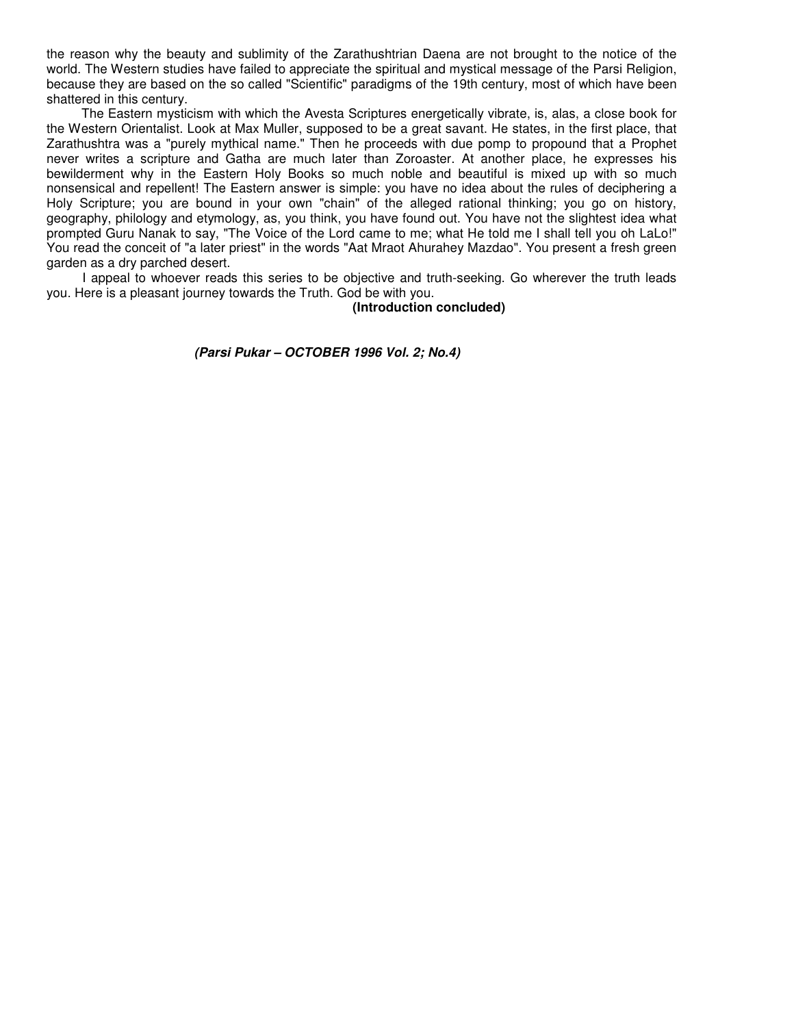the reason why the beauty and sublimity of the Zarathushtrian Daena are not brought to the notice of the world. The Western studies have failed to appreciate the spiritual and mystical message of the Parsi Religion, because they are based on the so called "Scientific" paradigms of the 19th century, most of which have been shattered in this century.

The Eastern mysticism with which the Avesta Scriptures energetically vibrate, is, alas, a close book for the Western Orientalist. Look at Max Muller, supposed to be a great savant. He states, in the first place, that Zarathushtra was a "purely mythical name." Then he proceeds with due pomp to propound that a Prophet never writes a scripture and Gatha are much later than Zoroaster. At another place, he expresses his bewilderment why in the Eastern Holy Books so much noble and beautiful is mixed up with so much nonsensical and repellent! The Eastern answer is simple: you have no idea about the rules of deciphering a Holy Scripture; you are bound in your own "chain" of the alleged rational thinking; you go on history, geography, philology and etymology, as, you think, you have found out. You have not the slightest idea what prompted Guru Nanak to say, "The Voice of the Lord came to me; what He told me I shall tell you oh LaLo!" You read the conceit of "a later priest" in the words "Aat Mraot Ahurahey Mazdao". You present a fresh green garden as a dry parched desert.

I appeal to whoever reads this series to be objective and truth-seeking. Go wherever the truth leads you. Here is a pleasant journey towards the Truth. God be with you.

 **(Introduction concluded)** 

 **(Parsi Pukar – OCTOBER 1996 Vol. 2; No.4)**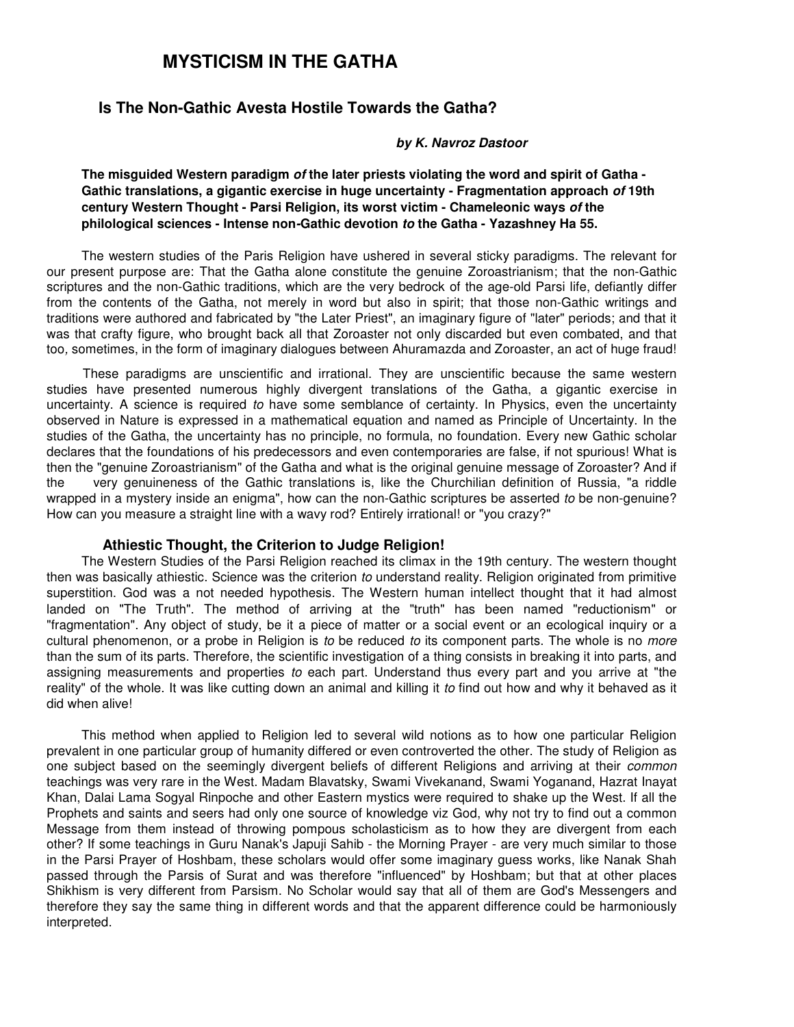## **Is The Non-Gathic Avesta Hostile Towards the Gatha?**

#### **by K. Navroz Dastoor**

**The misguided Western paradigm of the later priests violating the word and spirit of Gatha - Gathic translations, a gigantic exercise in huge uncertainty - Fragmentation approach of 19th century Western Thought - Parsi Religion, its worst victim - Chameleonic ways of the philological sciences - Intense non-Gathic devotion to the Gatha - Yazashney Ha 55.** 

The western studies of the Paris Religion have ushered in several sticky paradigms. The relevant for our present purpose are: That the Gatha alone constitute the genuine Zoroastrianism; that the non-Gathic scriptures and the non-Gathic traditions, which are the very bedrock of the age-old Parsi life, defiantly differ from the contents of the Gatha, not merely in word but also in spirit; that those non-Gathic writings and traditions were authored and fabricated by "the Later Priest", an imaginary figure of "later" periods; and that it was that crafty figure, who brought back all that Zoroaster not only discarded but even combated, and that too, sometimes, in the form of imaginary dialogues between Ahuramazda and Zoroaster, an act of huge fraud!

These paradigms are unscientific and irrational. They are unscientific because the same western studies have presented numerous highly divergent translations of the Gatha, a gigantic exercise in uncertainty. A science is required to have some semblance of certainty. In Physics, even the uncertainty observed in Nature is expressed in a mathematical equation and named as Principle of Uncertainty. In the studies of the Gatha, the uncertainty has no principle, no formula, no foundation. Every new Gathic scholar declares that the foundations of his predecessors and even contemporaries are false, if not spurious! What is then the "genuine Zoroastrianism" of the Gatha and what is the original genuine message of Zoroaster? And if the very genuineness of the Gathic translations is, like the Churchilian definition of Russia, "a riddle wrapped in a mystery inside an enigma", how can the non-Gathic scriptures be asserted to be non-genuine? How can you measure a straight line with a wavy rod? Entirely irrational! or "you crazy?"

#### **Athiestic Thought, the Criterion to Judge Religion!**

The Western Studies of the Parsi Religion reached its climax in the 19th century. The western thought then was basically athiestic. Science was the criterion to understand reality. Religion originated from primitive superstition. God was a not needed hypothesis. The Western human intellect thought that it had almost landed on "The Truth". The method of arriving at the "truth" has been named "reductionism" or "fragmentation". Any object of study, be it a piece of matter or a social event or an ecological inquiry or a cultural phenomenon, or a probe in Religion is to be reduced to its component parts. The whole is no more than the sum of its parts. Therefore, the scientific investigation of a thing consists in breaking it into parts, and assigning measurements and properties to each part. Understand thus every part and you arrive at "the reality" of the whole. It was like cutting down an animal and killing it to find out how and why it behaved as it did when alive!

This method when applied to Religion led to several wild notions as to how one particular Religion prevalent in one particular group of humanity differed or even controverted the other. The study of Religion as one subject based on the seemingly divergent beliefs of different Religions and arriving at their *common* teachings was very rare in the West. Madam Blavatsky, Swami Vivekanand, Swami Yoganand, Hazrat Inayat Khan, Dalai Lama Sogyal Rinpoche and other Eastern mystics were required to shake up the West. If all the Prophets and saints and seers had only one source of knowledge viz God, why not try to find out a common Message from them instead of throwing pompous scholasticism as to how they are divergent from each other? If some teachings in Guru Nanak's Japuji Sahib - the Morning Prayer - are very much similar to those in the Parsi Prayer of Hoshbam, these scholars would offer some imaginary guess works, like Nanak Shah passed through the Parsis of Surat and was therefore "influenced" by Hoshbam; but that at other places Shikhism is very different from Parsism. No Scholar would say that all of them are God's Messengers and therefore they say the same thing in different words and that the apparent difference could be harmoniously interpreted.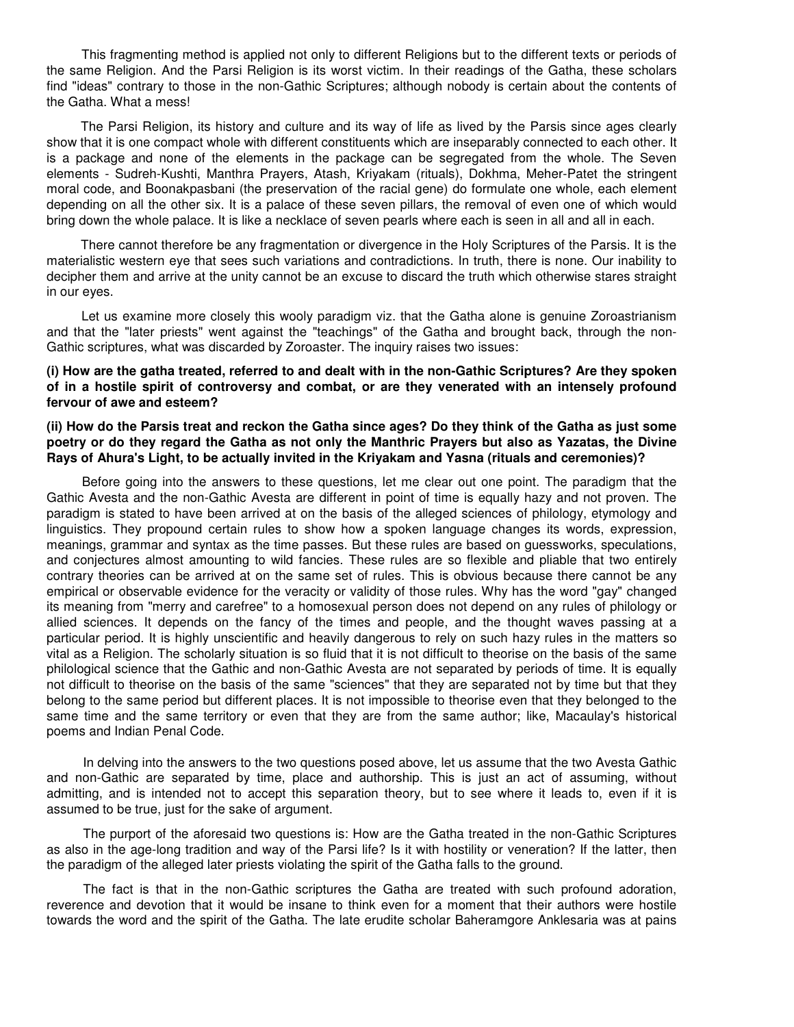This fragmenting method is applied not only to different Religions but to the different texts or periods of the same Religion. And the Parsi Religion is its worst victim. In their readings of the Gatha, these scholars find "ideas" contrary to those in the non-Gathic Scriptures; although nobody is certain about the contents of the Gatha. What a mess!

The Parsi Religion, its history and culture and its way of life as lived by the Parsis since ages clearly show that it is one compact whole with different constituents which are inseparably connected to each other. It is a package and none of the elements in the package can be segregated from the whole. The Seven elements - Sudreh-Kushti, Manthra Prayers, Atash, Kriyakam (rituals), Dokhma, Meher-Patet the stringent moral code, and Boonakpasbani (the preservation of the racial gene) do formulate one whole, each element depending on all the other six. It is a palace of these seven pillars, the removal of even one of which would bring down the whole palace. It is like a necklace of seven pearls where each is seen in all and all in each.

There cannot therefore be any fragmentation or divergence in the Holy Scriptures of the Parsis. It is the materialistic western eye that sees such variations and contradictions. In truth, there is none. Our inability to decipher them and arrive at the unity cannot be an excuse to discard the truth which otherwise stares straight in our eyes.

Let us examine more closely this wooly paradigm viz. that the Gatha alone is genuine Zoroastrianism and that the "later priests" went against the "teachings" of the Gatha and brought back, through the non-Gathic scriptures, what was discarded by Zoroaster. The inquiry raises two issues:

#### **(i) How are the gatha treated, referred to and dealt with in the non-Gathic Scriptures? Are they spoken of in a hostile spirit of controversy and combat, or are they venerated with an intensely profound fervour of awe and esteem?**

**(ii) How do the Parsis treat and reckon the Gatha since ages? Do they think of the Gatha as just some poetry or do they regard the Gatha as not only the Manthric Prayers but also as Yazatas, the Divine Rays of Ahura's Light, to be actually invited in the Kriyakam and Yasna (rituals and ceremonies)?** 

Before going into the answers to these questions, let me clear out one point. The paradigm that the Gathic Avesta and the non-Gathic Avesta are different in point of time is equally hazy and not proven. The paradigm is stated to have been arrived at on the basis of the alleged sciences of philology, etymology and linguistics. They propound certain rules to show how a spoken language changes its words, expression, meanings, grammar and syntax as the time passes. But these rules are based on guessworks, speculations, and conjectures almost amounting to wild fancies. These rules are so flexible and pliable that two entirely contrary theories can be arrived at on the same set of rules. This is obvious because there cannot be any empirical or observable evidence for the veracity or validity of those rules. Why has the word "gay" changed its meaning from "merry and carefree" to a homosexual person does not depend on any rules of philology or allied sciences. It depends on the fancy of the times and people, and the thought waves passing at a particular period. It is highly unscientific and heavily dangerous to rely on such hazy rules in the matters so vital as a Religion. The scholarly situation is so fluid that it is not difficult to theorise on the basis of the same philological science that the Gathic and non-Gathic Avesta are not separated by periods of time. It is equally not difficult to theorise on the basis of the same "sciences" that they are separated not by time but that they belong to the same period but different places. It is not impossible to theorise even that they belonged to the same time and the same territory or even that they are from the same author; like, Macaulay's historical poems and Indian Penal Code.

In delving into the answers to the two questions posed above, let us assume that the two Avesta Gathic and non-Gathic are separated by time, place and authorship. This is just an act of assuming, without admitting, and is intended not to accept this separation theory, but to see where it leads to, even if it is assumed to be true, just for the sake of argument.

The purport of the aforesaid two questions is: How are the Gatha treated in the non-Gathic Scriptures as also in the age-long tradition and way of the Parsi life? Is it with hostility or veneration? If the latter, then the paradigm of the alleged later priests violating the spirit of the Gatha falls to the ground.

The fact is that in the non-Gathic scriptures the Gatha are treated with such profound adoration, reverence and devotion that it would be insane to think even for a moment that their authors were hostile towards the word and the spirit of the Gatha. The late erudite scholar Baheramgore Anklesaria was at pains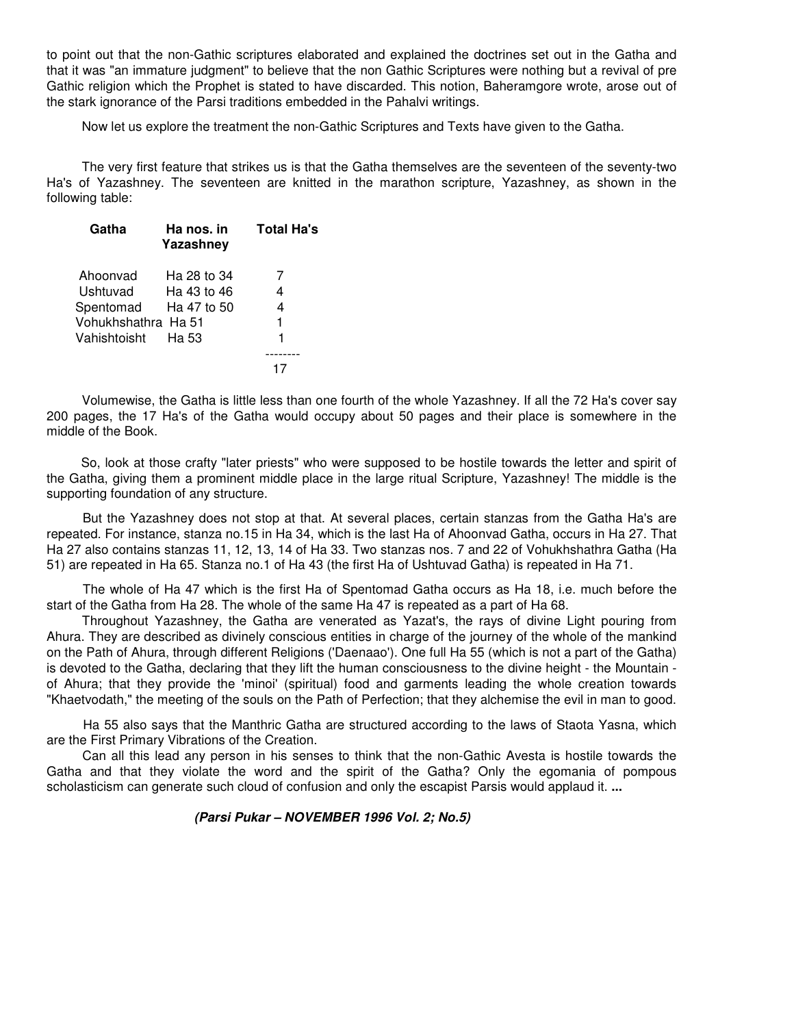to point out that the non-Gathic scriptures elaborated and explained the doctrines set out in the Gatha and that it was "an immature judgment" to believe that the non Gathic Scriptures were nothing but a revival of pre Gathic religion which the Prophet is stated to have discarded. This notion, Baheramgore wrote, arose out of the stark ignorance of the Parsi traditions embedded in the Pahalvi writings.

Now let us explore the treatment the non-Gathic Scriptures and Texts have given to the Gatha.

The very first feature that strikes us is that the Gatha themselves are the seventeen of the seventy-two Ha's of Yazashney. The seventeen are knitted in the marathon scripture, Yazashney, as shown in the following table:

| Gatha               | Ha nos. in<br>Yazashney | <b>Total Ha's</b> |
|---------------------|-------------------------|-------------------|
| Ahoonvad            | Ha 28 to 34             |                   |
| Ushtuvad            | Ha 43 to 46             | 4                 |
| Spentomad           | Ha 47 to 50             | 4                 |
| Vohukhshathra Ha 51 |                         |                   |
| Vahishtoisht        | Ha 53                   |                   |
|                     |                         |                   |
|                     |                         |                   |
|                     |                         |                   |

Volumewise, the Gatha is little less than one fourth of the whole Yazashney. If all the 72 Ha's cover say 200 pages, the 17 Ha's of the Gatha would occupy about 50 pages and their place is somewhere in the middle of the Book.

So, look at those crafty "later priests" who were supposed to be hostile towards the letter and spirit of the Gatha, giving them a prominent middle place in the large ritual Scripture, Yazashney! The middle is the supporting foundation of any structure.

But the Yazashney does not stop at that. At several places, certain stanzas from the Gatha Ha's are repeated. For instance, stanza no.15 in Ha 34, which is the last Ha of Ahoonvad Gatha, occurs in Ha 27. That Ha 27 also contains stanzas 11, 12, 13, 14 of Ha 33. Two stanzas nos. 7 and 22 of Vohukhshathra Gatha (Ha 51) are repeated in Ha 65. Stanza no.1 of Ha 43 (the first Ha of Ushtuvad Gatha) is repeated in Ha 71.

The whole of Ha 47 which is the first Ha of Spentomad Gatha occurs as Ha 18, i.e. much before the start of the Gatha from Ha 28. The whole of the same Ha 47 is repeated as a part of Ha 68.

Throughout Yazashney, the Gatha are venerated as Yazat's, the rays of divine Light pouring from Ahura. They are described as divinely conscious entities in charge of the journey of the whole of the mankind on the Path of Ahura, through different Religions ('Daenaao'). One full Ha 55 (which is not a part of the Gatha) is devoted to the Gatha, declaring that they lift the human consciousness to the divine height - the Mountain of Ahura; that they provide the 'minoi' (spiritual) food and garments leading the whole creation towards "Khaetvodath," the meeting of the souls on the Path of Perfection; that they alchemise the evil in man to good.

Ha 55 also says that the Manthric Gatha are structured according to the laws of Staota Yasna, which are the First Primary Vibrations of the Creation.

Can all this lead any person in his senses to think that the non-Gathic Avesta is hostile towards the Gatha and that they violate the word and the spirit of the Gatha? Only the egomania of pompous scholasticism can generate such cloud of confusion and only the escapist Parsis would applaud it. **...** 

#### **(Parsi Pukar – NOVEMBER 1996 Vol. 2; No.5)**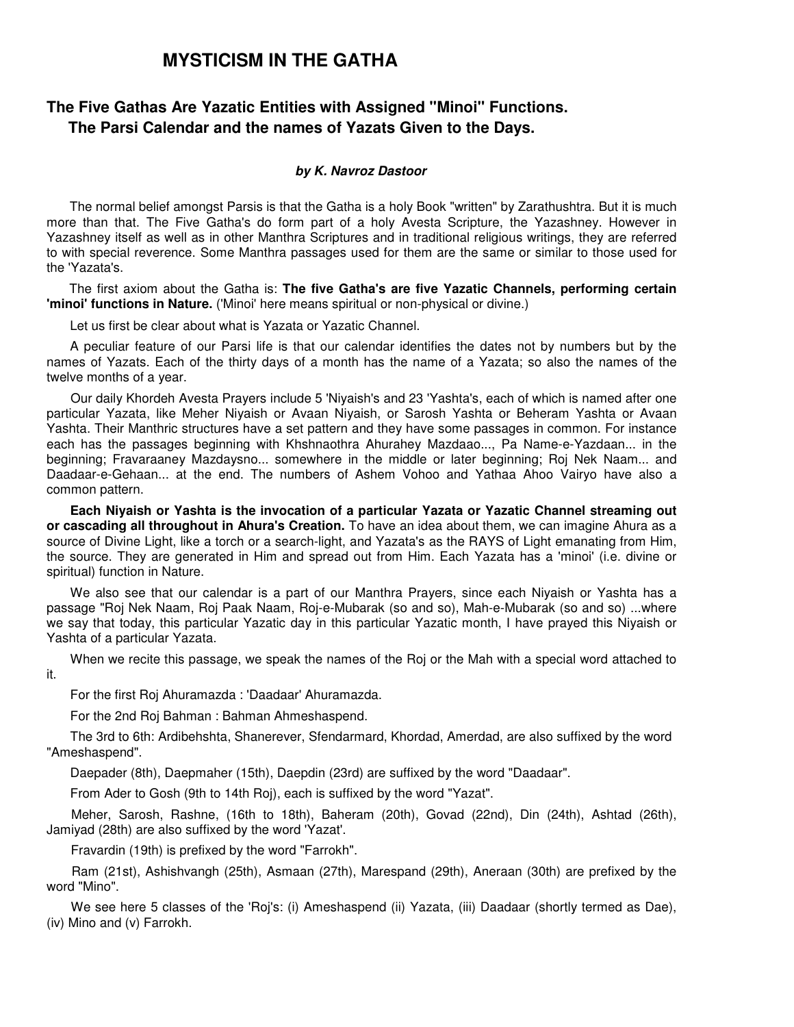## **The Five Gathas Are Yazatic Entities with Assigned "Minoi" Functions. The Parsi Calendar and the names of Yazats Given to the Days.**

#### **by K. Navroz Dastoor**

The normal belief amongst Parsis is that the Gatha is a holy Book "written" by Zarathushtra. But it is much more than that. The Five Gatha's do form part of a holy Avesta Scripture, the Yazashney. However in Yazashney itself as well as in other Manthra Scriptures and in traditional religious writings, they are referred to with special reverence. Some Manthra passages used for them are the same or similar to those used for the 'Yazata's.

The first axiom about the Gatha is: **The five Gatha's are five Yazatic Channels, performing certain 'minoi' functions in Nature.** ('Minoi' here means spiritual or non-physical or divine.)

Let us first be clear about what is Yazata or Yazatic Channel.

A peculiar feature of our Parsi life is that our calendar identifies the dates not by numbers but by the names of Yazats. Each of the thirty days of a month has the name of a Yazata; so also the names of the twelve months of a year.

Our daily Khordeh Avesta Prayers include 5 'Niyaish's and 23 'Yashta's, each of which is named after one particular Yazata, like Meher Niyaish or Avaan Niyaish, or Sarosh Yashta or Beheram Yashta or Avaan Yashta. Their Manthric structures have a set pattern and they have some passages in common. For instance each has the passages beginning with Khshnaothra Ahurahey Mazdaao..., Pa Name-e-Yazdaan... in the beginning; Fravaraaney Mazdaysno... somewhere in the middle or later beginning; Roj Nek Naam... and Daadaar-e-Gehaan... at the end. The numbers of Ashem Vohoo and Yathaa Ahoo Vairyo have also a common pattern.

**Each Niyaish or Yashta is the invocation of a particular Yazata or Yazatic Channel streaming out or cascading all throughout in Ahura's Creation.** To have an idea about them, we can imagine Ahura as a source of Divine Light, like a torch or a search-light, and Yazata's as the RAYS of Light emanating from Him, the source. They are generated in Him and spread out from Him. Each Yazata has a 'minoi' (i.e. divine or spiritual) function in Nature.

We also see that our calendar is a part of our Manthra Prayers, since each Niyaish or Yashta has a passage "Roj Nek Naam, Roj Paak Naam, Roj-e-Mubarak (so and so), Mah-e-Mubarak (so and so) ...where we say that today, this particular Yazatic day in this particular Yazatic month, I have prayed this Niyaish or Yashta of a particular Yazata.

When we recite this passage, we speak the names of the Roj or the Mah with a special word attached to it.

For the first Roj Ahuramazda : 'Daadaar' Ahuramazda.

For the 2nd Roj Bahman : Bahman Ahmeshaspend.

The 3rd to 6th: Ardibehshta, Shanerever, Sfendarmard, Khordad, Amerdad, are also suffixed by the word "Ameshaspend".

Daepader (8th), Daepmaher (15th), Daepdin (23rd) are suffixed by the word "Daadaar".

From Ader to Gosh (9th to 14th Roj), each is suffixed by the word "Yazat".

Meher, Sarosh, Rashne, (16th to 18th), Baheram (20th), Govad (22nd), Din (24th), Ashtad (26th), Jamiyad (28th) are also suffixed by the word 'Yazat'.

Fravardin (19th) is prefixed by the word "Farrokh".

Ram (21st), Ashishvangh (25th), Asmaan (27th), Marespand (29th), Aneraan (30th) are prefixed by the word "Mino".

We see here 5 classes of the 'Roj's: (i) Ameshaspend (ii) Yazata, (iii) Daadaar (shortly termed as Dae), (iv) Mino and (v) Farrokh.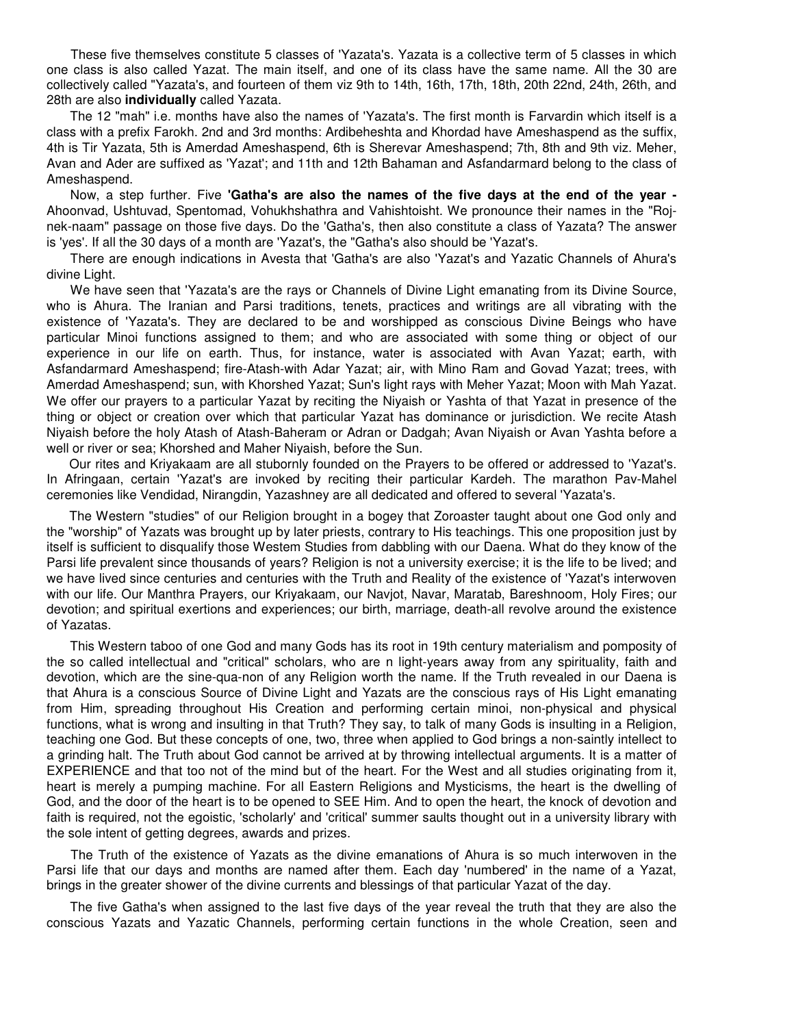These five themselves constitute 5 classes of 'Yazata's. Yazata is a collective term of 5 classes in which one class is also called Yazat. The main itself, and one of its class have the same name. All the 30 are collectively called "Yazata's, and fourteen of them viz 9th to 14th, 16th, 17th, 18th, 20th 22nd, 24th, 26th, and 28th are also **individually** called Yazata.

The 12 "mah" i.e. months have also the names of 'Yazata's. The first month is Farvardin which itself is a class with a prefix Farokh. 2nd and 3rd months: Ardibeheshta and Khordad have Ameshaspend as the suffix, 4th is Tir Yazata, 5th is Amerdad Ameshaspend, 6th is Sherevar Ameshaspend; 7th, 8th and 9th viz. Meher, Avan and Ader are suffixed as 'Yazat'; and 11th and 12th Bahaman and Asfandarmard belong to the class of Ameshaspend.

Now, a step further. Five **'Gatha's are also the names of the five days at the end of the year -** Ahoonvad, Ushtuvad, Spentomad, Vohukhshathra and Vahishtoisht. We pronounce their names in the "Rojnek-naam" passage on those five days. Do the 'Gatha's, then also constitute a class of Yazata? The answer is 'yes'. If all the 30 days of a month are 'Yazat's, the "Gatha's also should be 'Yazat's.

There are enough indications in Avesta that 'Gatha's are also 'Yazat's and Yazatic Channels of Ahura's divine Light.

We have seen that 'Yazata's are the rays or Channels of Divine Light emanating from its Divine Source, who is Ahura. The Iranian and Parsi traditions, tenets, practices and writings are all vibrating with the existence of 'Yazata's. They are declared to be and worshipped as conscious Divine Beings who have particular Minoi functions assigned to them; and who are associated with some thing or object of our experience in our life on earth. Thus, for instance, water is associated with Avan Yazat; earth, with Asfandarmard Ameshaspend; fire-Atash-with Adar Yazat; air, with Mino Ram and Govad Yazat; trees, with Amerdad Ameshaspend; sun, with Khorshed Yazat; Sun's light rays with Meher Yazat; Moon with Mah Yazat. We offer our prayers to a particular Yazat by reciting the Niyaish or Yashta of that Yazat in presence of the thing or object or creation over which that particular Yazat has dominance or jurisdiction. We recite Atash Niyaish before the holy Atash of Atash-Baheram or Adran or Dadgah; Avan Niyaish or Avan Yashta before a well or river or sea; Khorshed and Maher Niyaish, before the Sun.

Our rites and Kriyakaam are all stubornly founded on the Prayers to be offered or addressed to 'Yazat's. In Afringaan, certain 'Yazat's are invoked by reciting their particular Kardeh. The marathon Pav-Mahel ceremonies like Vendidad, Nirangdin, Yazashney are all dedicated and offered to several 'Yazata's.

The Western "studies" of our Religion brought in a bogey that Zoroaster taught about one God only and the "worship" of Yazats was brought up by later priests, contrary to His teachings. This one proposition just by itself is sufficient to disqualify those Westem Studies from dabbling with our Daena. What do they know of the Parsi life prevalent since thousands of years? Religion is not a university exercise; it is the life to be lived; and we have lived since centuries and centuries with the Truth and Reality of the existence of 'Yazat's interwoven with our life. Our Manthra Prayers, our Kriyakaam, our Navjot, Navar, Maratab, Bareshnoom, Holy Fires; our devotion; and spiritual exertions and experiences; our birth, marriage, death-all revolve around the existence of Yazatas.

This Western taboo of one God and many Gods has its root in 19th century materialism and pomposity of the so called intellectual and "critical" scholars, who are n light-years away from any spirituality, faith and devotion, which are the sine-qua-non of any Religion worth the name. If the Truth revealed in our Daena is that Ahura is a conscious Source of Divine Light and Yazats are the conscious rays of His Light emanating from Him, spreading throughout His Creation and performing certain minoi, non-physical and physical functions, what is wrong and insulting in that Truth? They say, to talk of many Gods is insulting in a Religion, teaching one God. But these concepts of one, two, three when applied to God brings a non-saintly intellect to a grinding halt. The Truth about God cannot be arrived at by throwing intellectual arguments. It is a matter of EXPERIENCE and that too not of the mind but of the heart. For the West and all studies originating from it, heart is merely a pumping machine. For all Eastern Religions and Mysticisms, the heart is the dwelling of God, and the door of the heart is to be opened to SEE Him. And to open the heart, the knock of devotion and faith is required, not the egoistic, 'scholarly' and 'critical' summer saults thought out in a university library with the sole intent of getting degrees, awards and prizes.

The Truth of the existence of Yazats as the divine emanations of Ahura is so much interwoven in the Parsi life that our days and months are named after them. Each day 'numbered' in the name of a Yazat, brings in the greater shower of the divine currents and blessings of that particular Yazat of the day.

The five Gatha's when assigned to the last five days of the year reveal the truth that they are also the conscious Yazats and Yazatic Channels, performing certain functions in the whole Creation, seen and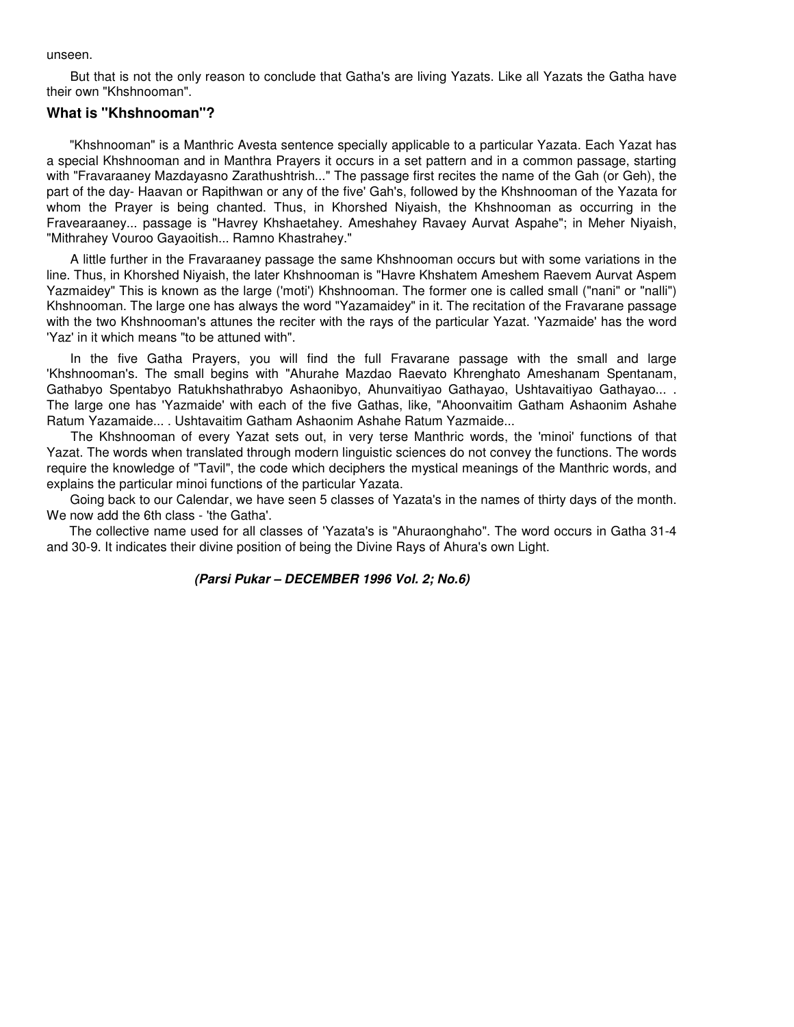unseen.

But that is not the only reason to conclude that Gatha's are living Yazats. Like all Yazats the Gatha have their own "Khshnooman".

#### **What is "Khshnooman"?**

"Khshnooman" is a Manthric Avesta sentence specially applicable to a particular Yazata. Each Yazat has a special Khshnooman and in Manthra Prayers it occurs in a set pattern and in a common passage, starting with "Fravaraaney Mazdayasno Zarathushtrish..." The passage first recites the name of the Gah (or Geh), the part of the day- Haavan or Rapithwan or any of the five' Gah's, followed by the Khshnooman of the Yazata for whom the Prayer is being chanted. Thus, in Khorshed Niyaish, the Khshnooman as occurring in the Fravearaaney... passage is "Havrey Khshaetahey. Ameshahey Ravaey Aurvat Aspahe"; in Meher Niyaish, "Mithrahey Vouroo Gayaoitish... Ramno Khastrahey."

A little further in the Fravaraaney passage the same Khshnooman occurs but with some variations in the line. Thus, in Khorshed Niyaish, the later Khshnooman is "Havre Khshatem Ameshem Raevem Aurvat Aspem Yazmaidey" This is known as the large ('moti') Khshnooman. The former one is called small ("nani" or "nalli") Khshnooman. The large one has always the word "Yazamaidey" in it. The recitation of the Fravarane passage with the two Khshnooman's attunes the reciter with the rays of the particular Yazat. 'Yazmaide' has the word 'Yaz' in it which means "to be attuned with".

In the five Gatha Prayers, you will find the full Fravarane passage with the small and large 'Khshnooman's. The small begins with "Ahurahe Mazdao Raevato Khrenghato Ameshanam Spentanam, Gathabyo Spentabyo Ratukhshathrabyo Ashaonibyo, Ahunvaitiyao Gathayao, Ushtavaitiyao Gathayao... . The large one has 'Yazmaide' with each of the five Gathas, like, "Ahoonvaitim Gatham Ashaonim Ashahe Ratum Yazamaide... . Ushtavaitim Gatham Ashaonim Ashahe Ratum Yazmaide...

The Khshnooman of every Yazat sets out, in very terse Manthric words, the 'minoi' functions of that Yazat. The words when translated through modern linguistic sciences do not convey the functions. The words require the knowledge of "Tavil", the code which deciphers the mystical meanings of the Manthric words, and explains the particular minoi functions of the particular Yazata.

Going back to our Calendar, we have seen 5 classes of Yazata's in the names of thirty days of the month. We now add the 6th class - 'the Gatha'.

The collective name used for all classes of 'Yazata's is "Ahuraonghaho". The word occurs in Gatha 31-4 and 30-9. It indicates their divine position of being the Divine Rays of Ahura's own Light.

#### **(Parsi Pukar – DECEMBER 1996 Vol. 2; No.6)**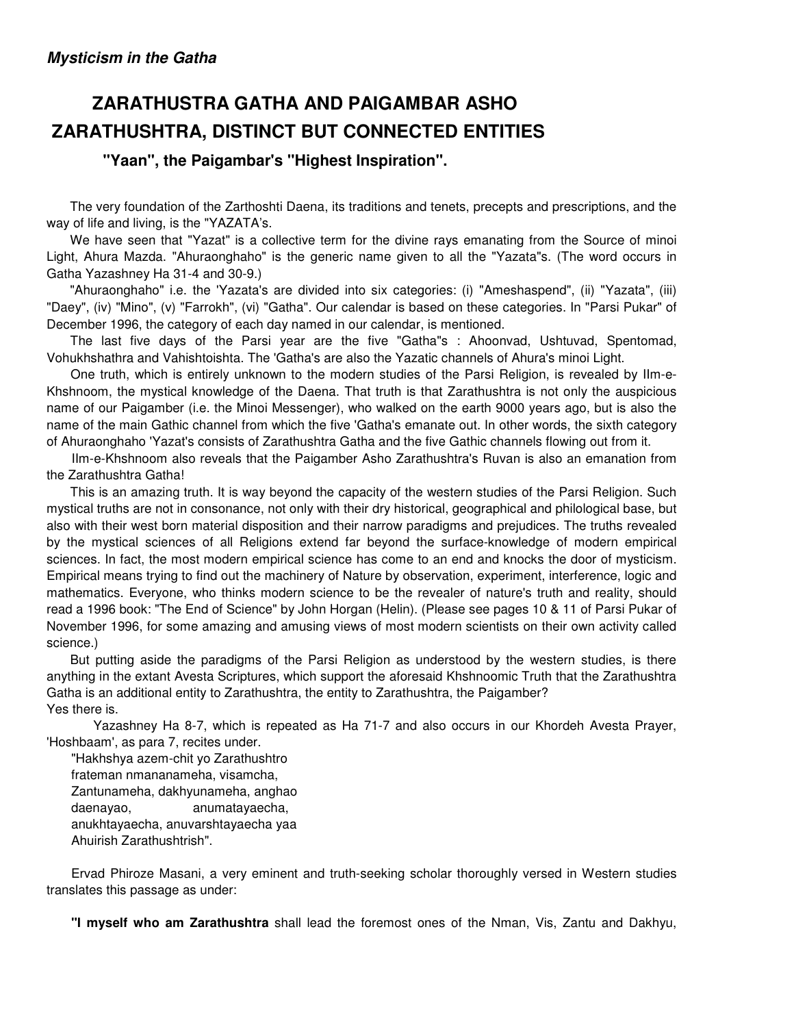# **ZARATHUSTRA GATHA AND PAIGAMBAR ASHO ZARATHUSHTRA, DISTINCT BUT CONNECTED ENTITIES**

## **"Yaan", the Paigambar's "Highest Inspiration".**

The very foundation of the Zarthoshti Daena, its traditions and tenets, precepts and prescriptions, and the way of life and living, is the "YAZATA's.

We have seen that "Yazat" is a collective term for the divine rays emanating from the Source of minoi Light, Ahura Mazda. "Ahuraonghaho" is the generic name given to all the "Yazata"s. (The word occurs in Gatha Yazashney Ha 31-4 and 30-9.)

"Ahuraonghaho" i.e. the 'Yazata's are divided into six categories: (i) "Ameshaspend", (ii) "Yazata", (iii) "Daey", (iv) "Mino", (v) "Farrokh", (vi) "Gatha". Our calendar is based on these categories. In "Parsi Pukar" of December 1996, the category of each day named in our calendar, is mentioned.

The last five days of the Parsi year are the five "Gatha"s : Ahoonvad, Ushtuvad, Spentomad, Vohukhshathra and Vahishtoishta. The 'Gatha's are also the Yazatic channels of Ahura's minoi Light.

One truth, which is entirely unknown to the modern studies of the Parsi Religion, is revealed by IIm-e-Khshnoom, the mystical knowledge of the Daena. That truth is that Zarathushtra is not only the auspicious name of our Paigamber (i.e. the Minoi Messenger), who walked on the earth 9000 years ago, but is also the name of the main Gathic channel from which the five 'Gatha's emanate out. In other words, the sixth category of Ahuraonghaho 'Yazat's consists of Zarathushtra Gatha and the five Gathic channels flowing out from it.

IIm-e-Khshnoom also reveals that the Paigamber Asho Zarathushtra's Ruvan is also an emanation from the Zarathushtra Gatha!

This is an amazing truth. It is way beyond the capacity of the western studies of the Parsi Religion. Such mystical truths are not in consonance, not only with their dry historical, geographical and philological base, but also with their west born material disposition and their narrow paradigms and prejudices. The truths revealed by the mystical sciences of all Religions extend far beyond the surface-knowledge of modern empirical sciences. In fact, the most modern empirical science has come to an end and knocks the door of mysticism. Empirical means trying to find out the machinery of Nature by observation, experiment, interference, logic and mathematics. Everyone, who thinks modern science to be the revealer of nature's truth and reality, should read a 1996 book: "The End of Science" by John Horgan (Helin). (Please see pages 10 & 11 of Parsi Pukar of November 1996, for some amazing and amusing views of most modern scientists on their own activity called science.)

But putting aside the paradigms of the Parsi Religion as understood by the western studies, is there anything in the extant Avesta Scriptures, which support the aforesaid Khshnoomic Truth that the Zarathushtra Gatha is an additional entity to Zarathushtra, the entity to Zarathushtra, the Paigamber? Yes there is.

 Yazashney Ha 8-7, which is repeated as Ha 71-7 and also occurs in our Khordeh Avesta Prayer, 'Hoshbaam', as para 7, recites under.

"Hakhshya azem-chit yo Zarathushtro frateman nmananameha, visamcha, Zantunameha, dakhyunameha, anghao daenayao, anumatayaecha, anukhtayaecha, anuvarshtayaecha yaa Ahuirish Zarathushtrish".

Ervad Phiroze Masani, a very eminent and truth-seeking scholar thoroughly versed in Western studies translates this passage as under:

**"I myself who am Zarathushtra** shall lead the foremost ones of the Nman, Vis, Zantu and Dakhyu,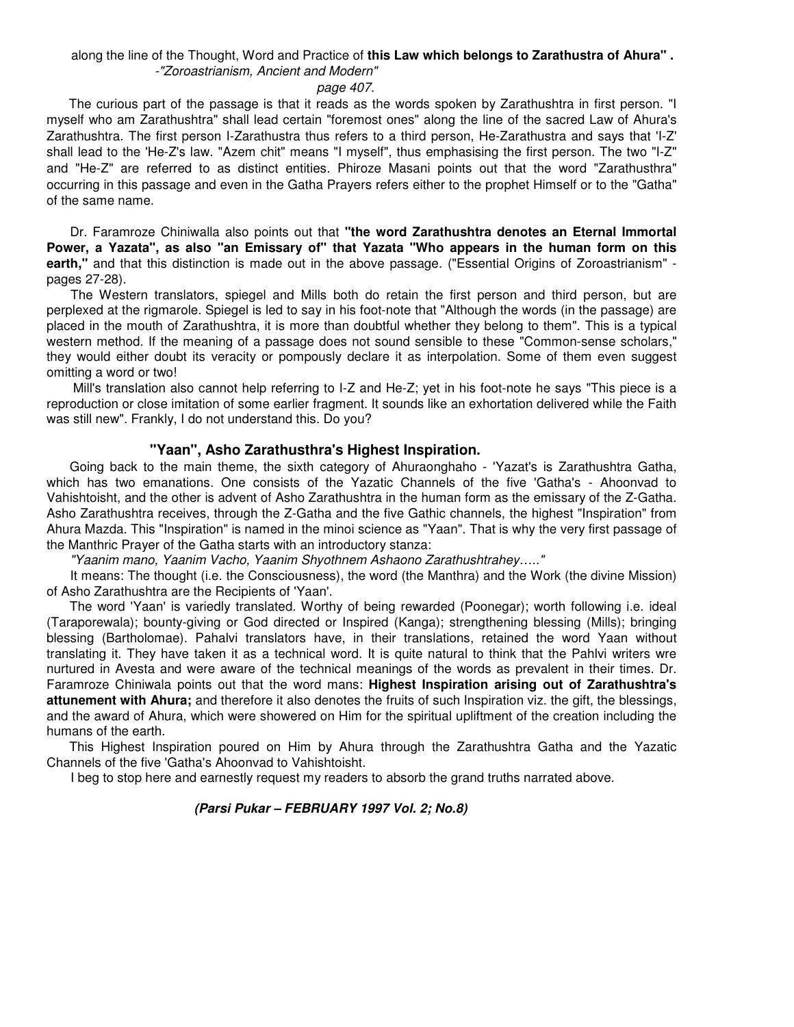### along the line of the Thought, Word and Practice of **this Law which belongs to Zarathustra of Ahura" .**  -"Zoroastrianism, Ancient and Modern"

#### page 407.

The curious part of the passage is that it reads as the words spoken by Zarathushtra in first person. "I myself who am Zarathushtra" shall lead certain "foremost ones" along the line of the sacred Law of Ahura's Zarathushtra. The first person I-Zarathustra thus refers to a third person, He-Zarathustra and says that 'I-Z' shall lead to the 'He-Z's law. "Azem chit" means "I myself", thus emphasising the first person. The two "I-Z" and "He-Z" are referred to as distinct entities. Phiroze Masani points out that the word "Zarathusthra" occurring in this passage and even in the Gatha Prayers refers either to the prophet Himself or to the "Gatha" of the same name.

Dr. Faramroze Chiniwalla also points out that **"the word Zarathushtra denotes an Eternal Immortal Power, a Yazata", as also "an Emissary of" that Yazata "Who appears in the human form on this earth,"** and that this distinction is made out in the above passage. ("Essential Origins of Zoroastrianism" pages 27-28).

The Western translators, spiegel and Mills both do retain the first person and third person, but are perplexed at the rigmarole. Spiegel is led to say in his foot-note that "Although the words (in the passage) are placed in the mouth of Zarathushtra, it is more than doubtful whether they belong to them". This is a typical western method. If the meaning of a passage does not sound sensible to these "Common-sense scholars," they would either doubt its veracity or pompously declare it as interpolation. Some of them even suggest omitting a word or two!

Mill's translation also cannot help referring to I-Z and He-Z; yet in his foot-note he says "This piece is a reproduction or close imitation of some earlier fragment. It sounds like an exhortation delivered while the Faith was still new". Frankly, I do not understand this. Do you?

#### **"Yaan", Asho Zarathusthra's Highest Inspiration.**

Going back to the main theme, the sixth category of Ahuraonghaho - 'Yazat's is Zarathushtra Gatha, which has two emanations. One consists of the Yazatic Channels of the five 'Gatha's - Ahoonvad to Vahishtoisht, and the other is advent of Asho Zarathushtra in the human form as the emissary of the Z-Gatha. Asho Zarathushtra receives, through the Z-Gatha and the five Gathic channels, the highest "Inspiration" from Ahura Mazda. This "Inspiration" is named in the minoi science as "Yaan". That is why the very first passage of the Manthric Prayer of the Gatha starts with an introductory stanza:

"Yaanim mano, Yaanim Vacho, Yaanim Shyothnem Ashaono Zarathushtrahey….."

It means: The thought (i.e. the Consciousness), the word (the Manthra) and the Work (the divine Mission) of Asho Zarathushtra are the Recipients of 'Yaan'.

The word 'Yaan' is variedly translated. Worthy of being rewarded (Poonegar); worth following i.e. ideal (Taraporewala); bounty-giving or God directed or Inspired (Kanga); strengthening blessing (Mills); bringing blessing (Bartholomae). Pahalvi translators have, in their translations, retained the word Yaan without translating it. They have taken it as a technical word. It is quite natural to think that the Pahlvi writers wre nurtured in Avesta and were aware of the technical meanings of the words as prevalent in their times. Dr. Faramroze Chiniwala points out that the word mans: **Highest Inspiration arising out of Zarathushtra's attunement with Ahura;** and therefore it also denotes the fruits of such Inspiration viz. the gift, the blessings, and the award of Ahura, which were showered on Him for the spiritual upliftment of the creation including the humans of the earth.

This Highest Inspiration poured on Him by Ahura through the Zarathushtra Gatha and the Yazatic Channels of the five 'Gatha's Ahoonvad to Vahishtoisht.

I beg to stop here and earnestly request my readers to absorb the grand truths narrated above.

#### **(Parsi Pukar – FEBRUARY 1997 Vol. 2; No.8)**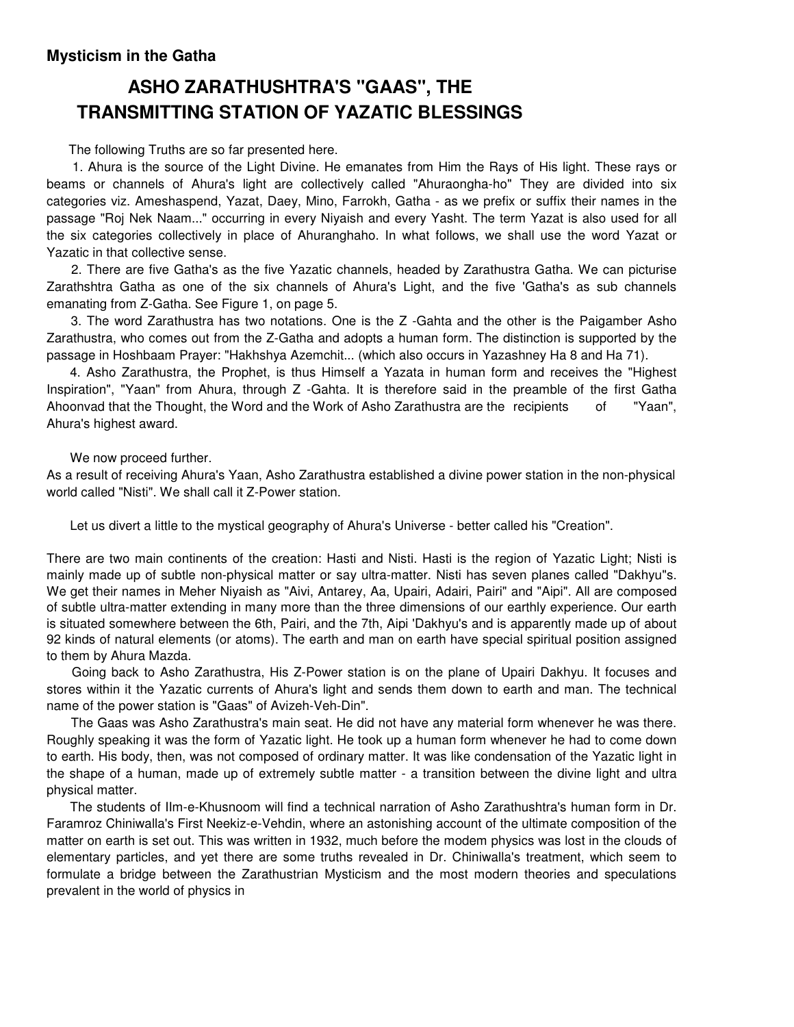## **Mysticism in the Gatha**

# **ASHO ZARATHUSHTRA'S "GAAS", THE TRANSMITTING STATION OF YAZATIC BLESSINGS**

The following Truths are so far presented here.

1. Ahura is the source of the Light Divine. He emanates from Him the Rays of His light. These rays or beams or channels of Ahura's light are collectively called "Ahuraongha-ho" They are divided into six categories viz. Ameshaspend, Yazat, Daey, Mino, Farrokh, Gatha - as we prefix or suffix their names in the passage "Roj Nek Naam..." occurring in every Niyaish and every Yasht. The term Yazat is also used for all the six categories collectively in place of Ahuranghaho. In what follows, we shall use the word Yazat or Yazatic in that collective sense.

2. There are five Gatha's as the five Yazatic channels, headed by Zarathustra Gatha. We can picturise Zarathshtra Gatha as one of the six channels of Ahura's Light, and the five 'Gatha's as sub channels emanating from Z-Gatha. See Figure 1, on page 5.

3. The word Zarathustra has two notations. One is the Z -Gahta and the other is the Paigamber Asho Zarathustra, who comes out from the Z-Gatha and adopts a human form. The distinction is supported by the passage in Hoshbaam Prayer: "Hakhshya Azemchit... (which also occurs in Yazashney Ha 8 and Ha 71).

4. Asho Zarathustra, the Prophet, is thus Himself a Yazata in human form and receives the "Highest Inspiration", "Yaan" from Ahura, through Z -Gahta. It is therefore said in the preamble of the first Gatha Ahoonvad that the Thought, the Word and the Work of Asho Zarathustra are the recipients of "Yaan", Ahura's highest award.

We now proceed further.

As a result of receiving Ahura's Yaan, Asho Zarathustra established a divine power station in the non-physical world called "Nisti". We shall call it Z-Power station.

Let us divert a little to the mystical geography of Ahura's Universe - better called his "Creation".

There are two main continents of the creation: Hasti and Nisti. Hasti is the region of Yazatic Light; Nisti is mainly made up of subtle non-physical matter or say ultra-matter. Nisti has seven planes called "Dakhyu"s. We get their names in Meher Niyaish as "Aivi, Antarey, Aa, Upairi, Adairi, Pairi" and "Aipi". All are composed of subtle ultra-matter extending in many more than the three dimensions of our earthly experience. Our earth is situated somewhere between the 6th, Pairi, and the 7th, Aipi 'Dakhyu's and is apparently made up of about 92 kinds of natural elements (or atoms). The earth and man on earth have special spiritual position assigned to them by Ahura Mazda.

Going back to Asho Zarathustra, His Z-Power station is on the plane of Upairi Dakhyu. It focuses and stores within it the Yazatic currents of Ahura's light and sends them down to earth and man. The technical name of the power station is "Gaas" of Avizeh-Veh-Din".

The Gaas was Asho Zarathustra's main seat. He did not have any material form whenever he was there. Roughly speaking it was the form of Yazatic light. He took up a human form whenever he had to come down to earth. His body, then, was not composed of ordinary matter. It was like condensation of the Yazatic light in the shape of a human, made up of extremely subtle matter - a transition between the divine light and ultra physical matter.

The students of IIm-e-Khusnoom will find a technical narration of Asho Zarathushtra's human form in Dr. Faramroz Chiniwalla's First Neekiz-e-Vehdin, where an astonishing account of the ultimate composition of the matter on earth is set out. This was written in 1932, much before the modem physics was lost in the clouds of elementary particles, and yet there are some truths revealed in Dr. Chiniwalla's treatment, which seem to formulate a bridge between the Zarathustrian Mysticism and the most modern theories and speculations prevalent in the world of physics in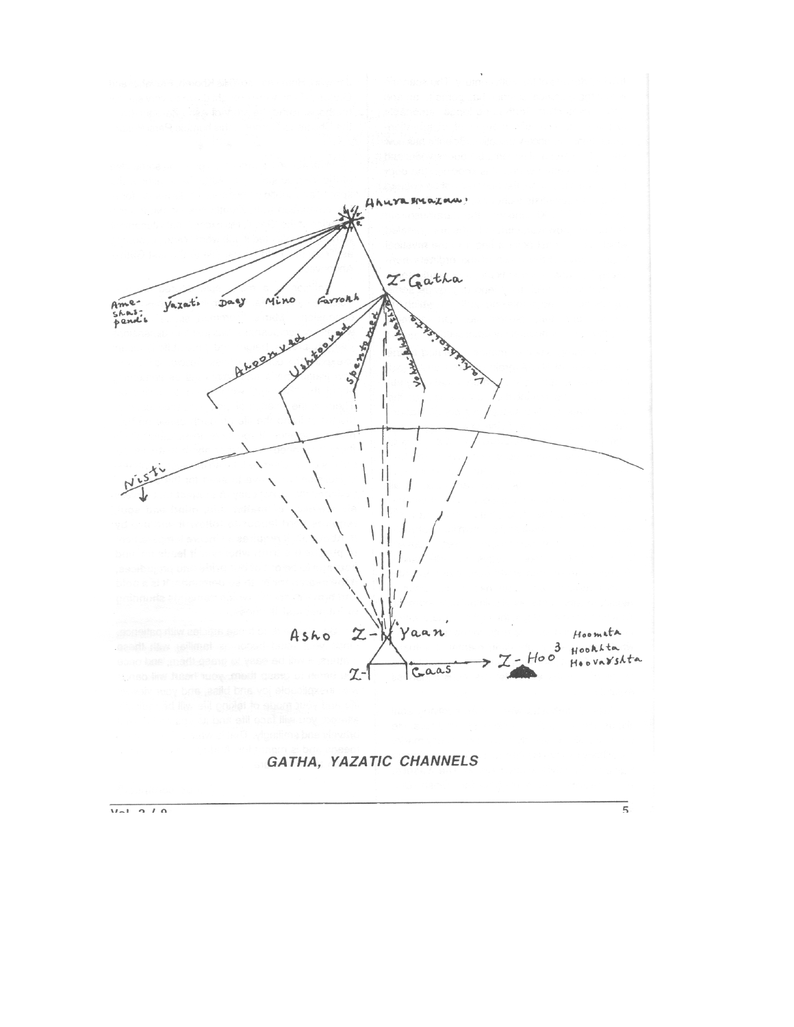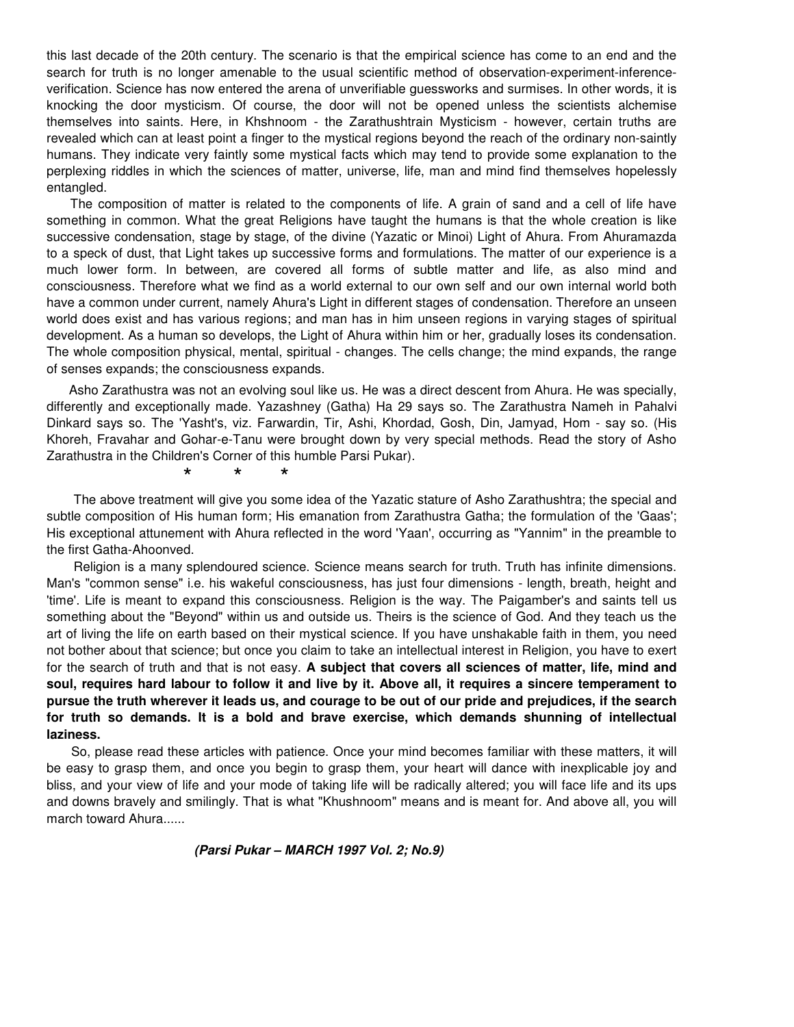this last decade of the 20th century. The scenario is that the empirical science has come to an end and the search for truth is no longer amenable to the usual scientific method of observation-experiment-inferenceverification. Science has now entered the arena of unverifiable guessworks and surmises. In other words, it is knocking the door mysticism. Of course, the door will not be opened unless the scientists alchemise themselves into saints. Here, in Khshnoom - the Zarathushtrain Mysticism - however, certain truths are revealed which can at least point a finger to the mystical regions beyond the reach of the ordinary non-saintly humans. They indicate very faintly some mystical facts which may tend to provide some explanation to the perplexing riddles in which the sciences of matter, universe, life, man and mind find themselves hopelessly entangled.

The composition of matter is related to the components of life. A grain of sand and a cell of life have something in common. What the great Religions have taught the humans is that the whole creation is like successive condensation, stage by stage, of the divine (Yazatic or Minoi) Light of Ahura. From Ahuramazda to a speck of dust, that Light takes up successive forms and formulations. The matter of our experience is a much lower form. In between, are covered all forms of subtle matter and life, as also mind and consciousness. Therefore what we find as a world external to our own self and our own internal world both have a common under current, namely Ahura's Light in different stages of condensation. Therefore an unseen world does exist and has various regions; and man has in him unseen regions in varying stages of spiritual development. As a human so develops, the Light of Ahura within him or her, gradually loses its condensation. The whole composition physical, mental, spiritual - changes. The cells change; the mind expands, the range of senses expands; the consciousness expands.

Asho Zarathustra was not an evolving soul like us. He was a direct descent from Ahura. He was specially, differently and exceptionally made. Yazashney (Gatha) Ha 29 says so. The Zarathustra Nameh in Pahalvi Dinkard says so. The 'Yasht's, viz. Farwardin, Tir, Ashi, Khordad, Gosh, Din, Jamyad, Hom - say so. (His Khoreh, Fravahar and Gohar-e-Tanu were brought down by very special methods. Read the story of Asho Zarathustra in the Children's Corner of this humble Parsi Pukar).

\* \* \*

The above treatment will give you some idea of the Yazatic stature of Asho Zarathushtra; the special and subtle composition of His human form; His emanation from Zarathustra Gatha; the formulation of the 'Gaas'; His exceptional attunement with Ahura reflected in the word 'Yaan', occurring as "Yannim" in the preamble to the first Gatha-Ahoonved.

Religion is a many splendoured science. Science means search for truth. Truth has infinite dimensions. Man's "common sense" i.e. his wakeful consciousness, has just four dimensions - length, breath, height and 'time'. Life is meant to expand this consciousness. Religion is the way. The Paigamber's and saints tell us something about the "Beyond" within us and outside us. Theirs is the science of God. And they teach us the art of living the life on earth based on their mystical science. If you have unshakable faith in them, you need not bother about that science; but once you claim to take an intellectual interest in Religion, you have to exert for the search of truth and that is not easy. **A subject that covers all sciences of matter, life, mind and soul, requires hard labour to follow it and live by it. Above all, it requires a sincere temperament to pursue the truth wherever it leads us, and courage to be out of our pride and prejudices, if the search for truth so demands. It is a bold and brave exercise, which demands shunning of intellectual laziness.**

So, please read these articles with patience. Once your mind becomes familiar with these matters, it will be easy to grasp them, and once you begin to grasp them, your heart will dance with inexplicable joy and bliss, and your view of life and your mode of taking life will be radically altered; you will face life and its ups and downs bravely and smilingly. That is what "Khushnoom" means and is meant for. And above all, you will march toward Ahura......

#### **(Parsi Pukar – MARCH 1997 Vol. 2; No.9)**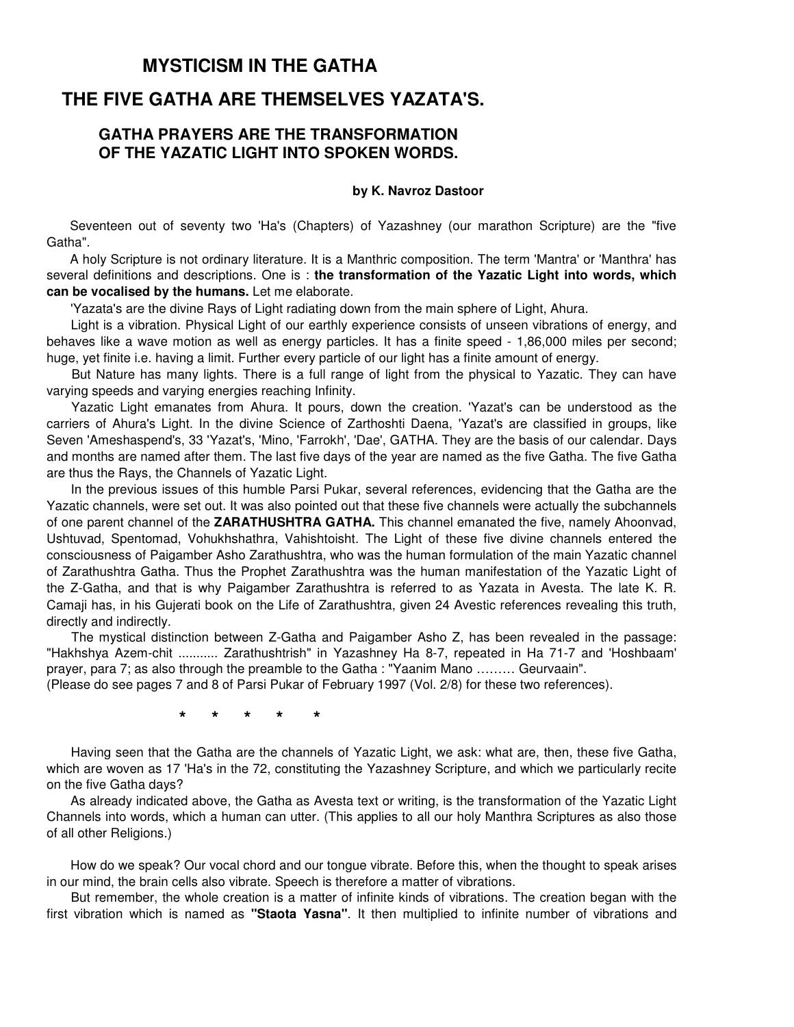## **THE FIVE GATHA ARE THEMSELVES YAZATA'S.**

## **GATHA PRAYERS ARE THE TRANSFORMATION OF THE YAZATIC LIGHT INTO SPOKEN WORDS.**

#### **by K. Navroz Dastoor**

Seventeen out of seventy two 'Ha's (Chapters) of Yazashney (our marathon Scripture) are the "five Gatha".

A holy Scripture is not ordinary literature. It is a Manthric composition. The term 'Mantra' or 'Manthra' has several definitions and descriptions. One is : **the transformation of the Yazatic Light into words, which can be vocalised by the humans.** Let me elaborate.

'Yazata's are the divine Rays of Light radiating down from the main sphere of Light, Ahura.

Light is a vibration. Physical Light of our earthly experience consists of unseen vibrations of energy, and behaves like a wave motion as well as energy particles. It has a finite speed - 1,86,000 miles per second; huge, yet finite i.e. having a limit. Further every particle of our light has a finite amount of energy.

But Nature has many lights. There is a full range of light from the physical to Yazatic. They can have varying speeds and varying energies reaching Infinity.

Yazatic Light emanates from Ahura. It pours, down the creation. 'Yazat's can be understood as the carriers of Ahura's Light. In the divine Science of Zarthoshti Daena, 'Yazat's are classified in groups, like Seven 'Ameshaspend's, 33 'Yazat's, 'Mino, 'Farrokh', 'Dae', GATHA. They are the basis of our calendar. Days and months are named after them. The last five days of the year are named as the five Gatha. The five Gatha are thus the Rays, the Channels of Yazatic Light.

In the previous issues of this humble Parsi Pukar, several references, evidencing that the Gatha are the Yazatic channels, were set out. It was also pointed out that these five channels were actually the subchannels of one parent channel of the **ZARATHUSHTRA GATHA.** This channel emanated the five, namely Ahoonvad, Ushtuvad, Spentomad, Vohukhshathra, Vahishtoisht. The Light of these five divine channels entered the consciousness of Paigamber Asho Zarathushtra, who was the human formulation of the main Yazatic channel of Zarathushtra Gatha. Thus the Prophet Zarathushtra was the human manifestation of the Yazatic Light of the Z-Gatha, and that is why Paigamber Zarathushtra is referred to as Yazata in Avesta. The late K. R. Camaji has, in his Gujerati book on the Life of Zarathushtra, given 24 Avestic references revealing this truth, directly and indirectly.

The mystical distinction between Z-Gatha and Paigamber Asho Z, has been revealed in the passage: "Hakhshya Azem-chit ........... Zarathushtrish" in Yazashney Ha 8-7, repeated in Ha 71-7 and 'Hoshbaam' prayer, para 7; as also through the preamble to the Gatha : "Yaanim Mano ……… Geurvaain".

(Please do see pages 7 and 8 of Parsi Pukar of February 1997 (Vol. 2/8) for these two references).

 **\* \* \* \* \*** 

Having seen that the Gatha are the channels of Yazatic Light, we ask: what are, then, these five Gatha, which are woven as 17 'Ha's in the 72, constituting the Yazashney Scripture, and which we particularly recite on the five Gatha days?

As already indicated above, the Gatha as Avesta text or writing, is the transformation of the Yazatic Light Channels into words, which a human can utter. (This applies to all our holy Manthra Scriptures as also those of all other Religions.)

How do we speak? Our vocal chord and our tongue vibrate. Before this, when the thought to speak arises in our mind, the brain cells also vibrate. Speech is therefore a matter of vibrations.

But remember, the whole creation is a matter of infinite kinds of vibrations. The creation began with the first vibration which is named as **"Staota Yasna"**. It then multiplied to infinite number of vibrations and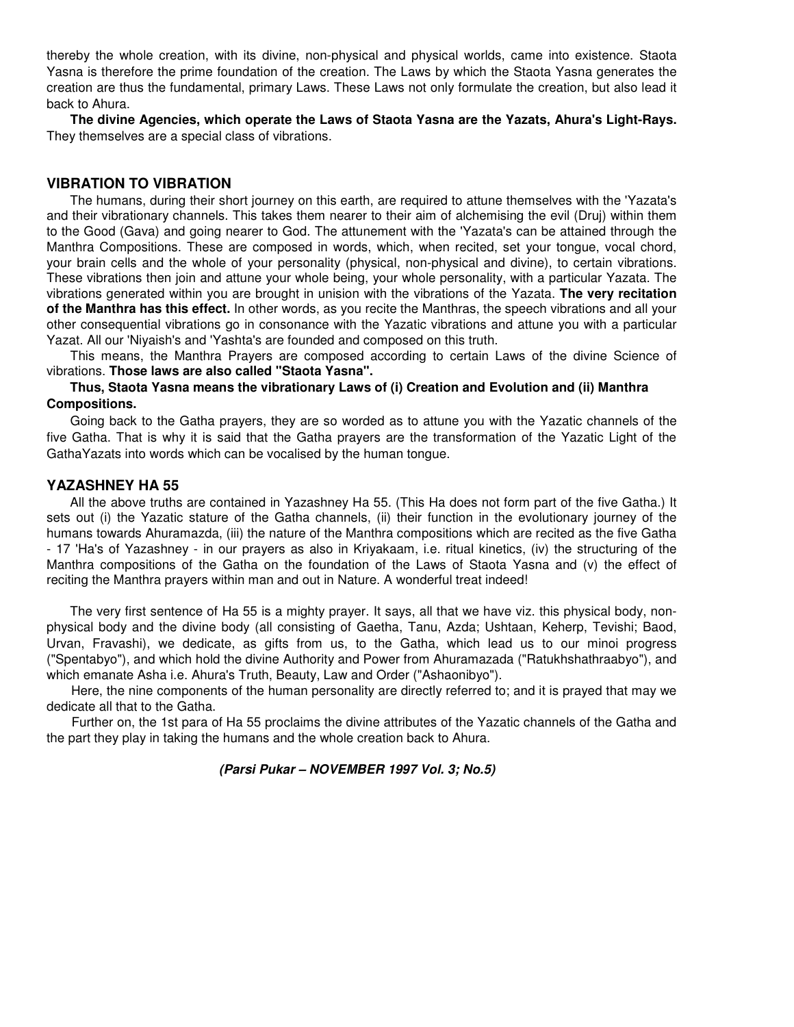thereby the whole creation, with its divine, non-physical and physical worlds, came into existence. Staota Yasna is therefore the prime foundation of the creation. The Laws by which the Staota Yasna generates the creation are thus the fundamental, primary Laws. These Laws not only formulate the creation, but also lead it back to Ahura.

**The divine Agencies, which operate the Laws of Staota Yasna are the Yazats, Ahura's Light-Rays.**  They themselves are a special class of vibrations.

#### **VIBRATION TO VIBRATION**

The humans, during their short journey on this earth, are required to attune themselves with the 'Yazata's and their vibrationary channels. This takes them nearer to their aim of alchemising the evil (Druj) within them to the Good (Gava) and going nearer to God. The attunement with the 'Yazata's can be attained through the Manthra Compositions. These are composed in words, which, when recited, set your tongue, vocal chord, your brain cells and the whole of your personality (physical, non-physical and divine), to certain vibrations. These vibrations then join and attune your whole being, your whole personality, with a particular Yazata. The vibrations generated within you are brought in unision with the vibrations of the Yazata. **The very recitation of the Manthra has this effect.** In other words, as you recite the Manthras, the speech vibrations and all your other consequential vibrations go in consonance with the Yazatic vibrations and attune you with a particular Yazat. All our 'Niyaish's and 'Yashta's are founded and composed on this truth.

This means, the Manthra Prayers are composed according to certain Laws of the divine Science of vibrations. **Those laws are also called "Staota Yasna".** 

**Thus, Staota Yasna means the vibrationary Laws of (i) Creation and Evolution and (ii) Manthra Compositions.** 

Going back to the Gatha prayers, they are so worded as to attune you with the Yazatic channels of the five Gatha. That is why it is said that the Gatha prayers are the transformation of the Yazatic Light of the GathaYazats into words which can be vocalised by the human tongue.

#### **YAZASHNEY HA 55**

All the above truths are contained in Yazashney Ha 55. (This Ha does not form part of the five Gatha.) It sets out (i) the Yazatic stature of the Gatha channels, (ii) their function in the evolutionary journey of the humans towards Ahuramazda, (iii) the nature of the Manthra compositions which are recited as the five Gatha - 17 'Ha's of Yazashney - in our prayers as also in Kriyakaam, i.e. ritual kinetics, (iv) the structuring of the Manthra compositions of the Gatha on the foundation of the Laws of Staota Yasna and (v) the effect of reciting the Manthra prayers within man and out in Nature. A wonderful treat indeed!

The very first sentence of Ha 55 is a mighty prayer. It says, all that we have viz. this physical body, nonphysical body and the divine body (all consisting of Gaetha, Tanu, Azda; Ushtaan, Keherp, Tevishi; Baod, Urvan, Fravashi), we dedicate, as gifts from us, to the Gatha, which lead us to our minoi progress ("Spentabyo"), and which hold the divine Authority and Power from Ahuramazada ("Ratukhshathraabyo"), and which emanate Asha i.e. Ahura's Truth, Beauty, Law and Order ("Ashaonibyo").

Here, the nine components of the human personality are directly referred to; and it is prayed that may we dedicate all that to the Gatha.

Further on, the 1st para of Ha 55 proclaims the divine attributes of the Yazatic channels of the Gatha and the part they play in taking the humans and the whole creation back to Ahura.

 **(Parsi Pukar – NOVEMBER 1997 Vol. 3; No.5)**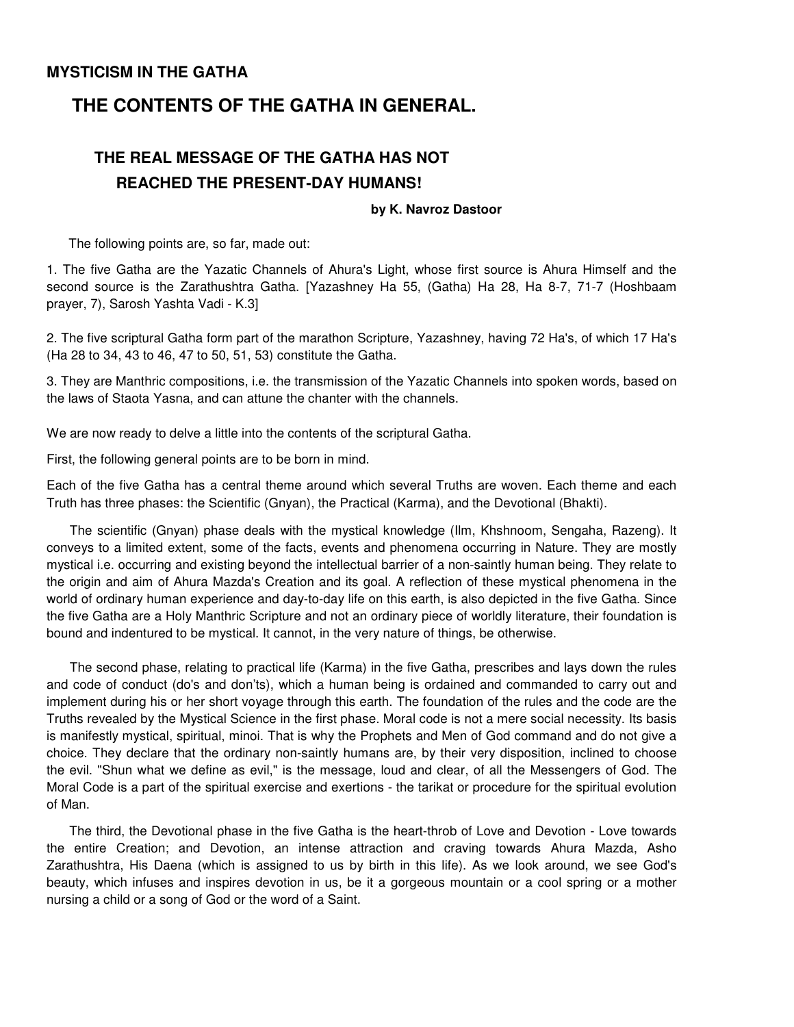# **THE CONTENTS OF THE GATHA IN GENERAL.**

# **THE REAL MESSAGE OF THE GATHA HAS NOT REACHED THE PRESENT-DAY HUMANS!**

#### **by K. Navroz Dastoor**

The following points are, so far, made out:

1. The five Gatha are the Yazatic Channels of Ahura's Light, whose first source is Ahura Himself and the second source is the Zarathushtra Gatha. [Yazashney Ha 55, (Gatha) Ha 28, Ha 8-7, 71-7 (Hoshbaam prayer, 7), Sarosh Yashta Vadi - K.3]

2. The five scriptural Gatha form part of the marathon Scripture, Yazashney, having 72 Ha's, of which 17 Ha's (Ha 28 to 34, 43 to 46, 47 to 50, 51, 53) constitute the Gatha.

3. They are Manthric compositions, i.e. the transmission of the Yazatic Channels into spoken words, based on the laws of Staota Yasna, and can attune the chanter with the channels.

We are now ready to delve a little into the contents of the scriptural Gatha.

First, the following general points are to be born in mind.

Each of the five Gatha has a central theme around which several Truths are woven. Each theme and each Truth has three phases: the Scientific (Gnyan), the Practical (Karma), and the Devotional (Bhakti).

The scientific (Gnyan) phase deals with the mystical knowledge (Ilm, Khshnoom, Sengaha, Razeng). It conveys to a limited extent, some of the facts, events and phenomena occurring in Nature. They are mostly mystical i.e. occurring and existing beyond the intellectual barrier of a non-saintly human being. They relate to the origin and aim of Ahura Mazda's Creation and its goal. A reflection of these mystical phenomena in the world of ordinary human experience and day-to-day life on this earth, is also depicted in the five Gatha. Since the five Gatha are a Holy Manthric Scripture and not an ordinary piece of worldly literature, their foundation is bound and indentured to be mystical. It cannot, in the very nature of things, be otherwise.

The second phase, relating to practical life (Karma) in the five Gatha, prescribes and lays down the rules and code of conduct (do's and don'ts), which a human being is ordained and commanded to carry out and implement during his or her short voyage through this earth. The foundation of the rules and the code are the Truths revealed by the Mystical Science in the first phase. Moral code is not a mere social necessity. Its basis is manifestly mystical, spiritual, minoi. That is why the Prophets and Men of God command and do not give a choice. They declare that the ordinary non-saintly humans are, by their very disposition, inclined to choose the evil. "Shun what we define as evil," is the message, loud and clear, of all the Messengers of God. The Moral Code is a part of the spiritual exercise and exertions - the tarikat or procedure for the spiritual evolution of Man.

The third, the Devotional phase in the five Gatha is the heart-throb of Love and Devotion - Love towards the entire Creation; and Devotion, an intense attraction and craving towards Ahura Mazda, Asho Zarathushtra, His Daena (which is assigned to us by birth in this life). As we look around, we see God's beauty, which infuses and inspires devotion in us, be it a gorgeous mountain or a cool spring or a mother nursing a child or a song of God or the word of a Saint.